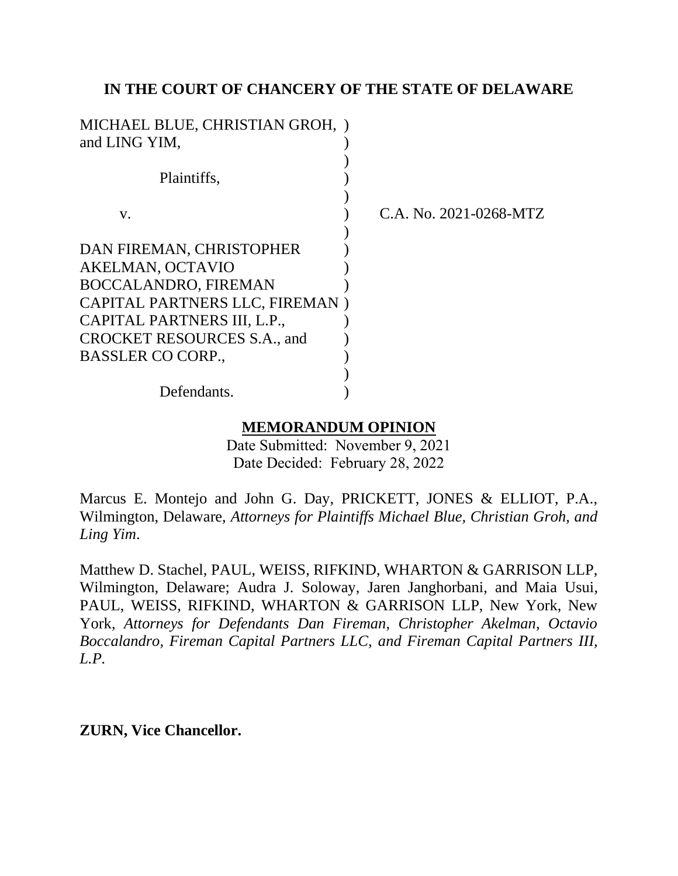### **IN THE COURT OF CHANCERY OF THE STATE OF DELAWARE**

| MICHAEL BLUE, CHRISTIAN GROH, )<br>and LING YIM, |                        |
|--------------------------------------------------|------------------------|
| Plaintiffs,                                      |                        |
| V.                                               | C.A. No. 2021-0268-MTZ |
| DAN FIREMAN, CHRISTOPHER                         |                        |
| AKELMAN, OCTAVIO                                 |                        |
| <b>BOCCALANDRO, FIREMAN</b>                      |                        |
| CAPITAL PARTNERS LLC, FIREMAN)                   |                        |
| CAPITAL PARTNERS III, L.P.,                      |                        |
| <b>CROCKET RESOURCES S.A., and</b>               |                        |
| <b>BASSLER CO CORP.,</b>                         |                        |
|                                                  |                        |
| Defendants.                                      |                        |

### **MEMORANDUM OPINION**

Date Submitted: November 9, 2021 Date Decided: February 28, 2022

Marcus E. Montejo and John G. Day, PRICKETT, JONES & ELLIOT, P.A., Wilmington, Delaware, *Attorneys for Plaintiffs Michael Blue, Christian Groh, and Ling Yim*.

Matthew D. Stachel, PAUL, WEISS, RIFKIND, WHARTON & GARRISON LLP, Wilmington, Delaware; Audra J. Soloway, Jaren Janghorbani, and Maia Usui, PAUL, WEISS, RIFKIND, WHARTON & GARRISON LLP, New York, New York, *Attorneys for Defendants Dan Fireman, Christopher Akelman, Octavio Boccalandro, Fireman Capital Partners LLC, and Fireman Capital Partners III, L.P.*

**ZURN, Vice Chancellor.**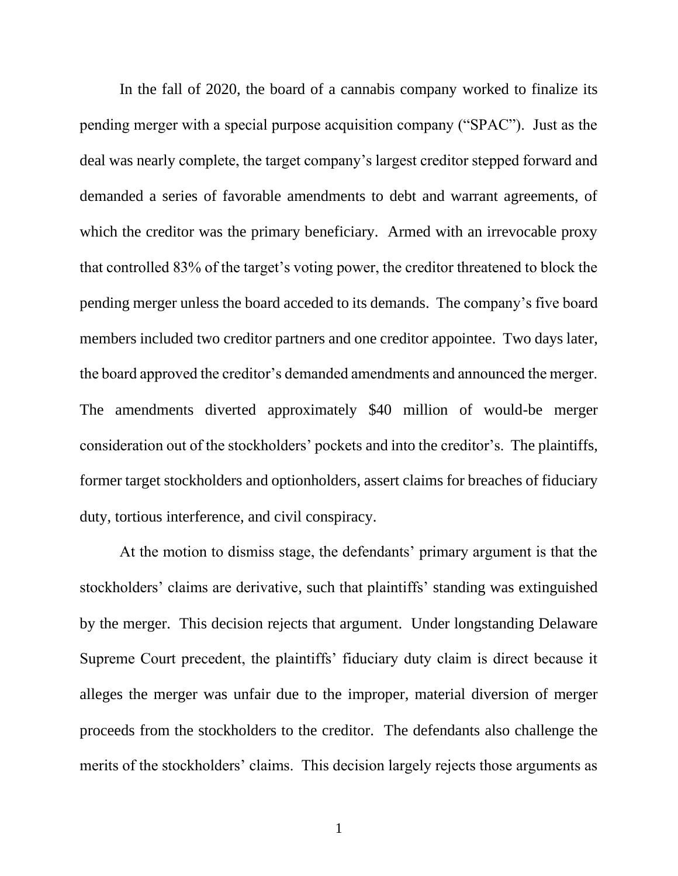In the fall of 2020, the board of a cannabis company worked to finalize its pending merger with a special purpose acquisition company ("SPAC"). Just as the deal was nearly complete, the target company's largest creditor stepped forward and demanded a series of favorable amendments to debt and warrant agreements, of which the creditor was the primary beneficiary. Armed with an irrevocable proxy that controlled 83% of the target's voting power, the creditor threatened to block the pending merger unless the board acceded to its demands. The company's five board members included two creditor partners and one creditor appointee. Two days later, the board approved the creditor's demanded amendments and announced the merger. The amendments diverted approximately \$40 million of would-be merger consideration out of the stockholders' pockets and into the creditor's. The plaintiffs, former target stockholders and optionholders, assert claims for breaches of fiduciary duty, tortious interference, and civil conspiracy.

At the motion to dismiss stage, the defendants' primary argument is that the stockholders' claims are derivative, such that plaintiffs' standing was extinguished by the merger. This decision rejects that argument. Under longstanding Delaware Supreme Court precedent, the plaintiffs' fiduciary duty claim is direct because it alleges the merger was unfair due to the improper, material diversion of merger proceeds from the stockholders to the creditor. The defendants also challenge the merits of the stockholders' claims. This decision largely rejects those arguments as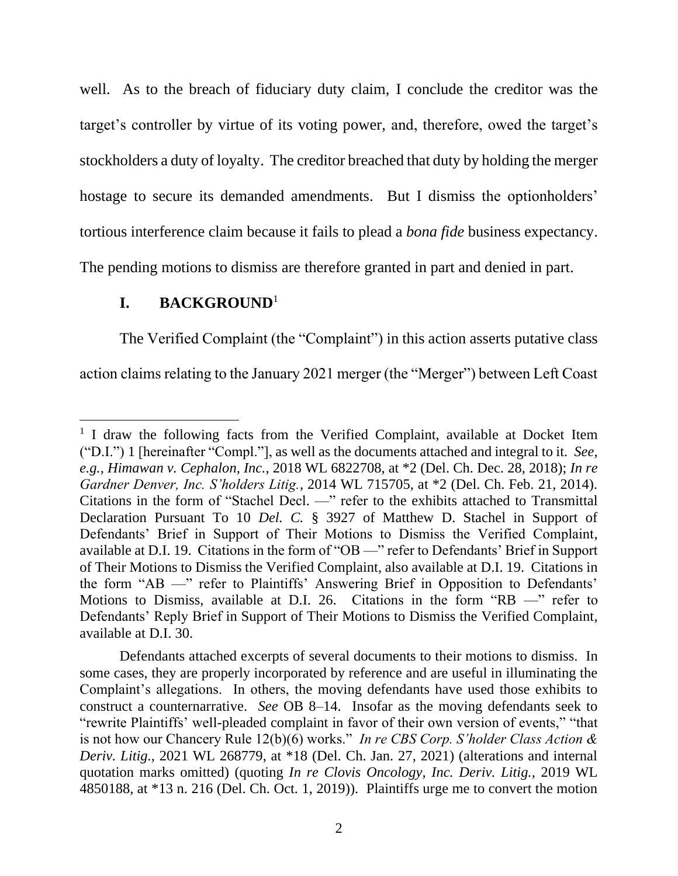well. As to the breach of fiduciary duty claim, I conclude the creditor was the target's controller by virtue of its voting power, and, therefore, owed the target's stockholders a duty of loyalty. The creditor breached that duty by holding the merger hostage to secure its demanded amendments. But I dismiss the optionholders' tortious interference claim because it fails to plead a *bona fide* business expectancy. The pending motions to dismiss are therefore granted in part and denied in part.

### **I. BACKGROUND**<sup>1</sup>

The Verified Complaint (the "Complaint") in this action asserts putative class action claims relating to the January 2021 merger (the "Merger") between Left Coast

<sup>&</sup>lt;sup>1</sup> I draw the following facts from the Verified Complaint, available at Docket Item ("D.I.") 1 [hereinafter "Compl."], as well as the documents attached and integral to it. *See, e.g.*, *Himawan v. Cephalon, Inc.*, 2018 WL 6822708, at \*2 (Del. Ch. Dec. 28, 2018); *In re Gardner Denver, Inc. S'holders Litig.*, 2014 WL 715705, at \*2 (Del. Ch. Feb. 21, 2014). Citations in the form of "Stachel Decl. ––" refer to the exhibits attached to Transmittal Declaration Pursuant To 10 *Del. C.* § 3927 of Matthew D. Stachel in Support of Defendants' Brief in Support of Their Motions to Dismiss the Verified Complaint, available at D.I. 19. Citations in the form of "OB —" refer to Defendants' Brief in Support of Their Motions to Dismiss the Verified Complaint, also available at D.I. 19. Citations in the form "AB ––" refer to Plaintiffs' Answering Brief in Opposition to Defendants' Motions to Dismiss, available at D.I. 26. Citations in the form "RB  $-$ " refer to Defendants' Reply Brief in Support of Their Motions to Dismiss the Verified Complaint, available at D.I. 30.

Defendants attached excerpts of several documents to their motions to dismiss. In some cases, they are properly incorporated by reference and are useful in illuminating the Complaint's allegations. In others, the moving defendants have used those exhibits to construct a counternarrative. *See* OB 8–14. Insofar as the moving defendants seek to "rewrite Plaintiffs' well-pleaded complaint in favor of their own version of events," "that is not how our Chancery Rule 12(b)(6) works." *In re CBS Corp. S'holder Class Action & Deriv. Litig.*, 2021 WL 268779, at \*18 (Del. Ch. Jan. 27, 2021) (alterations and internal quotation marks omitted) (quoting *In re Clovis Oncology, Inc. Deriv. Litig.*, 2019 WL 4850188, at \*13 n. 216 (Del. Ch. Oct. 1, 2019)). Plaintiffs urge me to convert the motion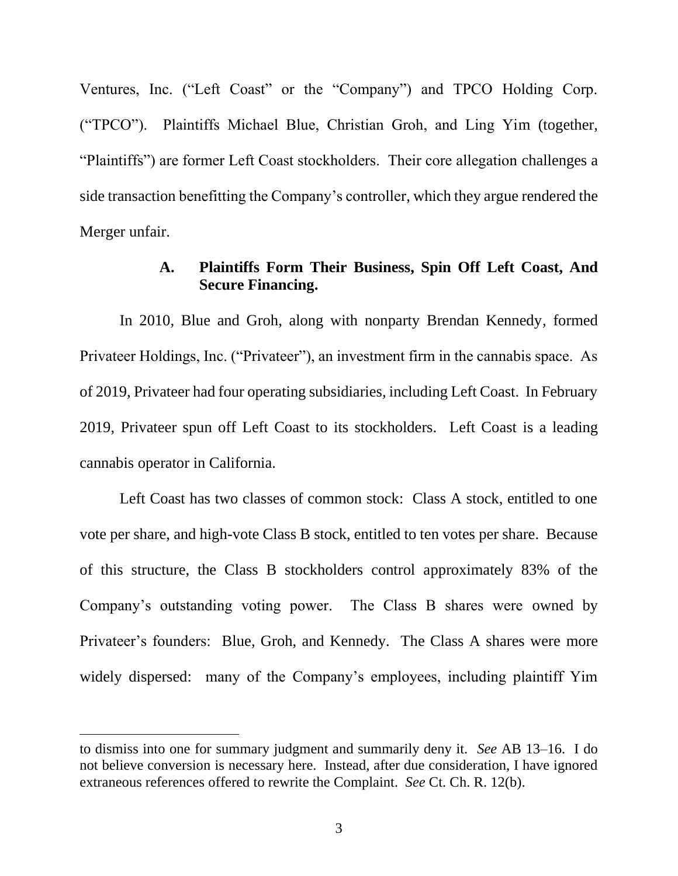Ventures, Inc. ("Left Coast" or the "Company") and TPCO Holding Corp. ("TPCO"). Plaintiffs Michael Blue, Christian Groh, and Ling Yim (together, "Plaintiffs") are former Left Coast stockholders. Their core allegation challenges a side transaction benefitting the Company's controller, which they argue rendered the Merger unfair.

### **A. Plaintiffs Form Their Business, Spin Off Left Coast, And Secure Financing.**

In 2010, Blue and Groh, along with nonparty Brendan Kennedy, formed Privateer Holdings, Inc. ("Privateer"), an investment firm in the cannabis space. As of 2019, Privateer had four operating subsidiaries, including Left Coast. In February 2019, Privateer spun off Left Coast to its stockholders. Left Coast is a leading cannabis operator in California.

Left Coast has two classes of common stock: Class A stock, entitled to one vote per share, and high-vote Class B stock, entitled to ten votes per share. Because of this structure, the Class B stockholders control approximately 83% of the Company's outstanding voting power. The Class B shares were owned by Privateer's founders: Blue, Groh, and Kennedy. The Class A shares were more widely dispersed: many of the Company's employees, including plaintiff Yim

to dismiss into one for summary judgment and summarily deny it. *See* AB 13–16. I do not believe conversion is necessary here. Instead, after due consideration, I have ignored extraneous references offered to rewrite the Complaint. *See* Ct. Ch. R. 12(b).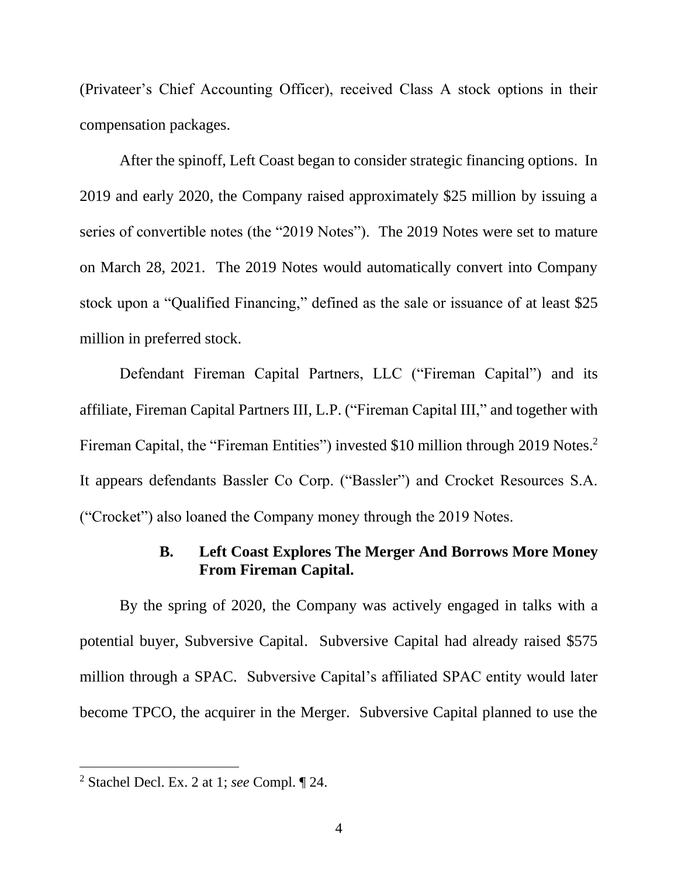(Privateer's Chief Accounting Officer), received Class A stock options in their compensation packages.

After the spinoff, Left Coast began to consider strategic financing options. In 2019 and early 2020, the Company raised approximately \$25 million by issuing a series of convertible notes (the "2019 Notes"). The 2019 Notes were set to mature on March 28, 2021. The 2019 Notes would automatically convert into Company stock upon a "Qualified Financing," defined as the sale or issuance of at least \$25 million in preferred stock.

Defendant Fireman Capital Partners, LLC ("Fireman Capital") and its affiliate, Fireman Capital Partners III, L.P. ("Fireman Capital III," and together with Fireman Capital, the "Fireman Entities") invested \$10 million through 2019 Notes.<sup>2</sup> It appears defendants Bassler Co Corp. ("Bassler") and Crocket Resources S.A. ("Crocket") also loaned the Company money through the 2019 Notes.

## **B. Left Coast Explores The Merger And Borrows More Money From Fireman Capital.**

By the spring of 2020, the Company was actively engaged in talks with a potential buyer, Subversive Capital. Subversive Capital had already raised \$575 million through a SPAC. Subversive Capital's affiliated SPAC entity would later become TPCO, the acquirer in the Merger. Subversive Capital planned to use the

<sup>2</sup> Stachel Decl. Ex. 2 at 1; *see* Compl. ¶ 24.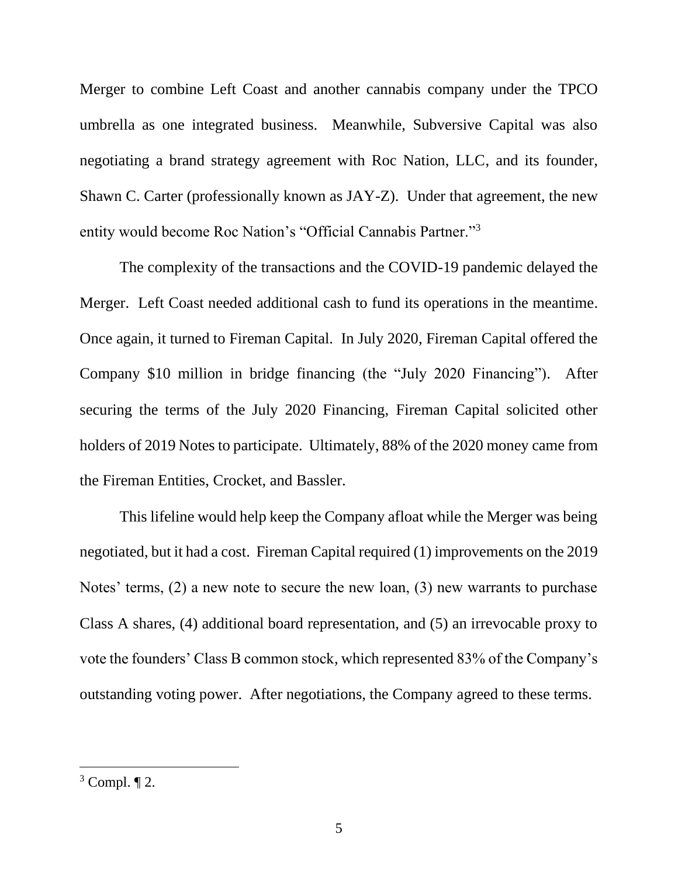Merger to combine Left Coast and another cannabis company under the TPCO umbrella as one integrated business. Meanwhile, Subversive Capital was also negotiating a brand strategy agreement with Roc Nation, LLC, and its founder, Shawn C. Carter (professionally known as JAY-Z). Under that agreement, the new entity would become Roc Nation's "Official Cannabis Partner."<sup>3</sup>

The complexity of the transactions and the COVID-19 pandemic delayed the Merger. Left Coast needed additional cash to fund its operations in the meantime. Once again, it turned to Fireman Capital. In July 2020, Fireman Capital offered the Company \$10 million in bridge financing (the "July 2020 Financing"). After securing the terms of the July 2020 Financing, Fireman Capital solicited other holders of 2019 Notes to participate. Ultimately, 88% of the 2020 money came from the Fireman Entities, Crocket, and Bassler.

This lifeline would help keep the Company afloat while the Merger was being negotiated, but it had a cost. Fireman Capital required (1) improvements on the 2019 Notes' terms, (2) a new note to secure the new loan, (3) new warrants to purchase Class A shares, (4) additional board representation, and (5) an irrevocable proxy to vote the founders' Class B common stock, which represented 83% of the Company's outstanding voting power. After negotiations, the Company agreed to these terms.

 $3$  Compl.  $\P$  2.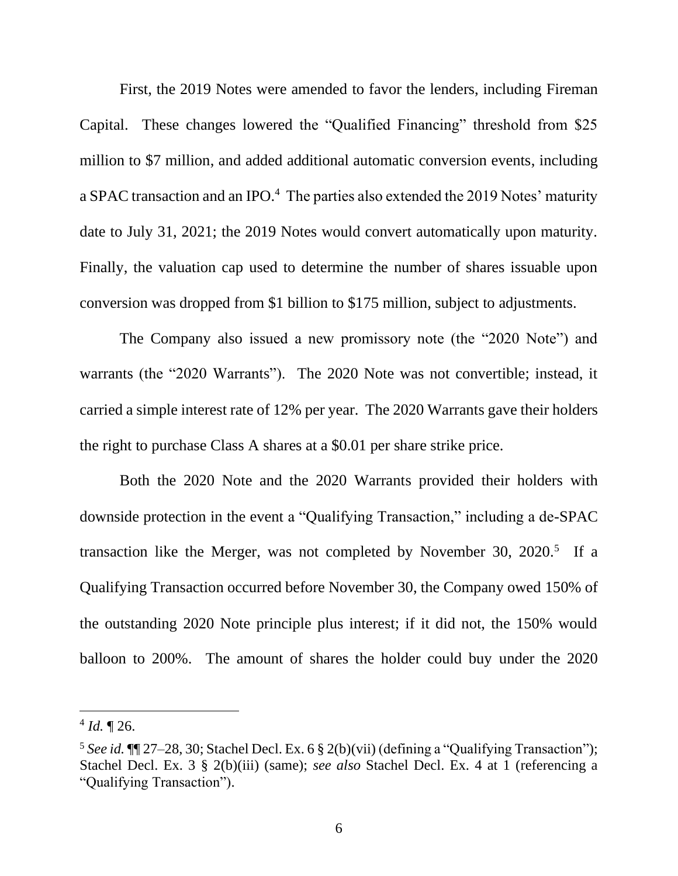First, the 2019 Notes were amended to favor the lenders, including Fireman Capital. These changes lowered the "Qualified Financing" threshold from \$25 million to \$7 million, and added additional automatic conversion events, including a SPAC transaction and an IPO.<sup>4</sup> The parties also extended the 2019 Notes' maturity date to July 31, 2021; the 2019 Notes would convert automatically upon maturity. Finally, the valuation cap used to determine the number of shares issuable upon conversion was dropped from \$1 billion to \$175 million, subject to adjustments.

The Company also issued a new promissory note (the "2020 Note") and warrants (the "2020 Warrants"). The 2020 Note was not convertible; instead, it carried a simple interest rate of 12% per year. The 2020 Warrants gave their holders the right to purchase Class A shares at a \$0.01 per share strike price.

Both the 2020 Note and the 2020 Warrants provided their holders with downside protection in the event a "Qualifying Transaction," including a de-SPAC transaction like the Merger, was not completed by November 30, 2020.<sup>5</sup> If a Qualifying Transaction occurred before November 30, the Company owed 150% of the outstanding 2020 Note principle plus interest; if it did not, the 150% would balloon to 200%. The amount of shares the holder could buy under the 2020

 $4$  *Id.*  $\sqrt{26}$ .

<sup>&</sup>lt;sup>5</sup> See id.  $\P$ [27–28, 30; Stachel Decl. Ex. 6 § 2(b)(vii) (defining a "Qualifying Transaction"); Stachel Decl. Ex. 3 § 2(b)(iii) (same); *see also* Stachel Decl. Ex. 4 at 1 (referencing a "Qualifying Transaction").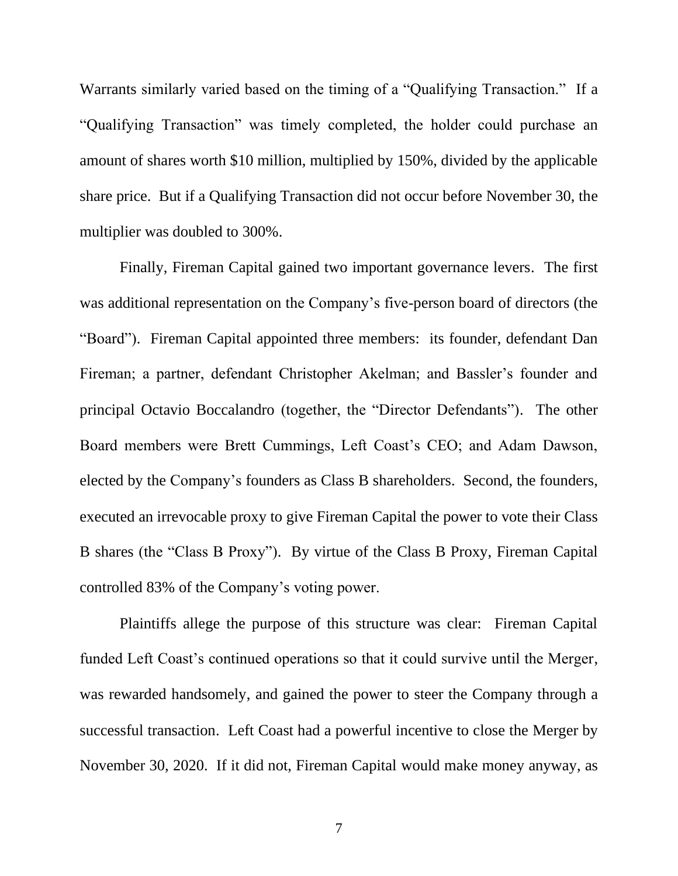Warrants similarly varied based on the timing of a "Qualifying Transaction." If a "Qualifying Transaction" was timely completed, the holder could purchase an amount of shares worth \$10 million, multiplied by 150%, divided by the applicable share price. But if a Qualifying Transaction did not occur before November 30, the multiplier was doubled to 300%.

Finally, Fireman Capital gained two important governance levers. The first was additional representation on the Company's five-person board of directors (the "Board"). Fireman Capital appointed three members: its founder, defendant Dan Fireman; a partner, defendant Christopher Akelman; and Bassler's founder and principal Octavio Boccalandro (together, the "Director Defendants"). The other Board members were Brett Cummings, Left Coast's CEO; and Adam Dawson, elected by the Company's founders as Class B shareholders. Second, the founders, executed an irrevocable proxy to give Fireman Capital the power to vote their Class B shares (the "Class B Proxy"). By virtue of the Class B Proxy, Fireman Capital controlled 83% of the Company's voting power.

Plaintiffs allege the purpose of this structure was clear: Fireman Capital funded Left Coast's continued operations so that it could survive until the Merger, was rewarded handsomely, and gained the power to steer the Company through a successful transaction. Left Coast had a powerful incentive to close the Merger by November 30, 2020. If it did not, Fireman Capital would make money anyway, as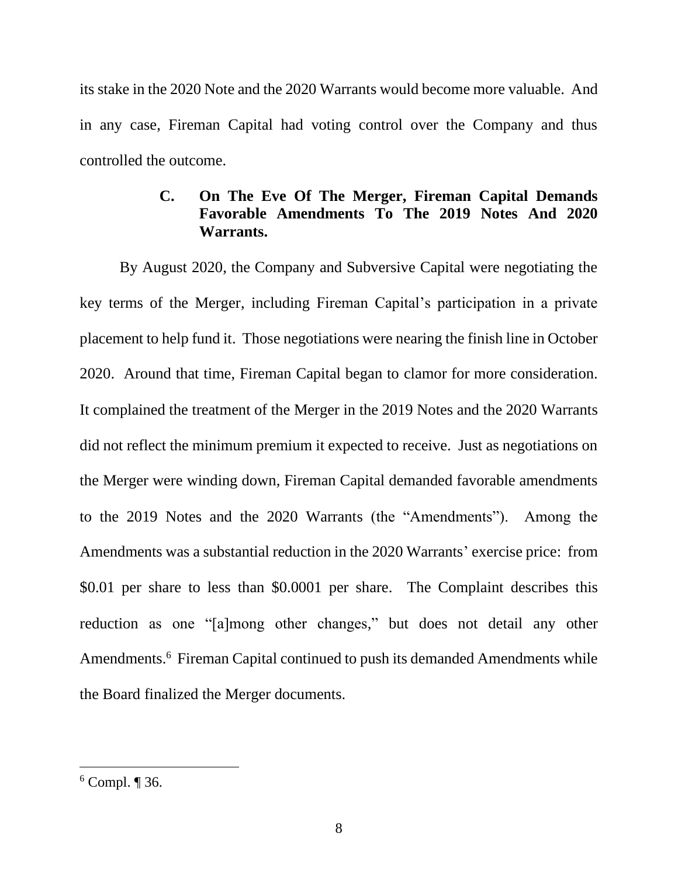its stake in the 2020 Note and the 2020 Warrants would become more valuable. And in any case, Fireman Capital had voting control over the Company and thus controlled the outcome.

# **C. On The Eve Of The Merger, Fireman Capital Demands Favorable Amendments To The 2019 Notes And 2020 Warrants.**

By August 2020, the Company and Subversive Capital were negotiating the key terms of the Merger, including Fireman Capital's participation in a private placement to help fund it. Those negotiations were nearing the finish line in October 2020. Around that time, Fireman Capital began to clamor for more consideration. It complained the treatment of the Merger in the 2019 Notes and the 2020 Warrants did not reflect the minimum premium it expected to receive. Just as negotiations on the Merger were winding down, Fireman Capital demanded favorable amendments to the 2019 Notes and the 2020 Warrants (the "Amendments"). Among the Amendments was a substantial reduction in the 2020 Warrants' exercise price: from \$0.01 per share to less than \$0.0001 per share. The Complaint describes this reduction as one "[a]mong other changes," but does not detail any other Amendments. 6 Fireman Capital continued to push its demanded Amendments while the Board finalized the Merger documents.

 $6$  Compl. ¶ 36.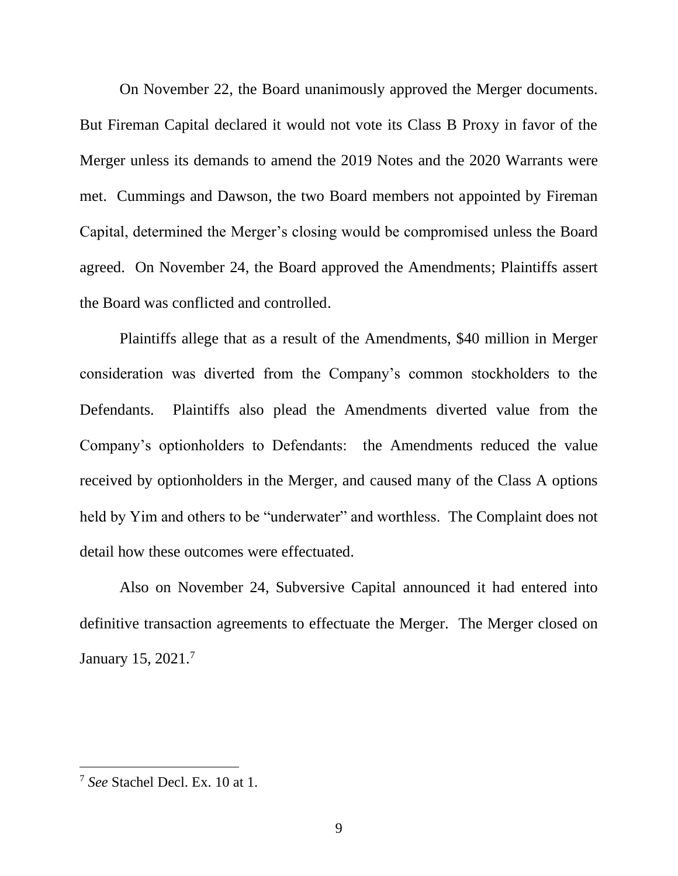On November 22, the Board unanimously approved the Merger documents. But Fireman Capital declared it would not vote its Class B Proxy in favor of the Merger unless its demands to amend the 2019 Notes and the 2020 Warrants were met. Cummings and Dawson, the two Board members not appointed by Fireman Capital, determined the Merger's closing would be compromised unless the Board agreed. On November 24, the Board approved the Amendments; Plaintiffs assert the Board was conflicted and controlled.

Plaintiffs allege that as a result of the Amendments, \$40 million in Merger consideration was diverted from the Company's common stockholders to the Defendants. Plaintiffs also plead the Amendments diverted value from the Company's optionholders to Defendants: the Amendments reduced the value received by optionholders in the Merger, and caused many of the Class A options held by Yim and others to be "underwater" and worthless. The Complaint does not detail how these outcomes were effectuated.

Also on November 24, Subversive Capital announced it had entered into definitive transaction agreements to effectuate the Merger. The Merger closed on January 15, 2021.<sup>7</sup>

<sup>7</sup> *See* Stachel Decl. Ex. 10 at 1.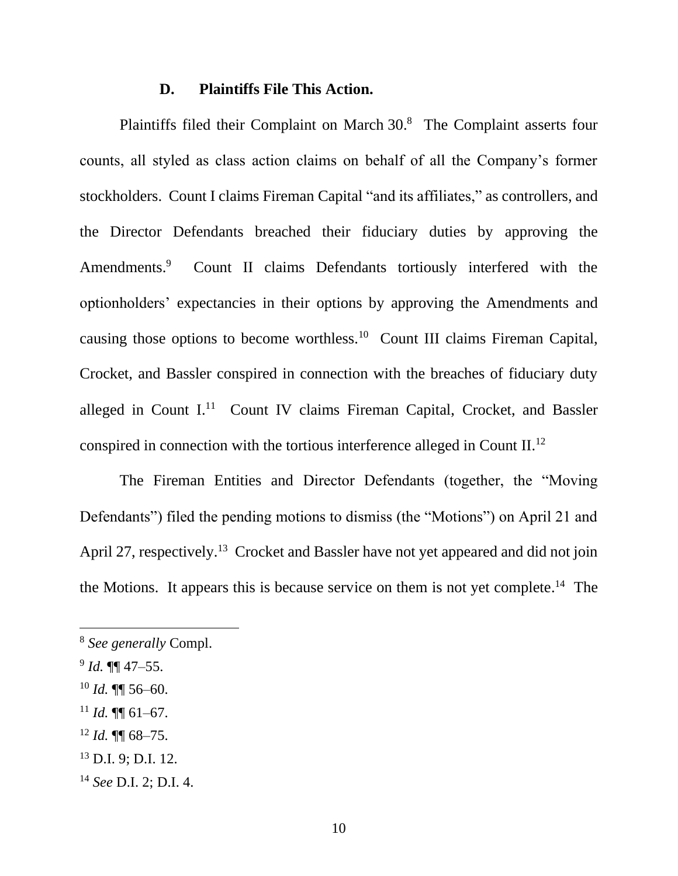### **D. Plaintiffs File This Action.**

Plaintiffs filed their Complaint on March 30.<sup>8</sup> The Complaint asserts four counts, all styled as class action claims on behalf of all the Company's former stockholders. Count I claims Fireman Capital "and its affiliates," as controllers, and the Director Defendants breached their fiduciary duties by approving the Amendments.<sup>9</sup> Count II claims Defendants tortiously interfered with the optionholders' expectancies in their options by approving the Amendments and causing those options to become worthless.<sup>10</sup> Count III claims Fireman Capital, Crocket, and Bassler conspired in connection with the breaches of fiduciary duty alleged in Count I.<sup>11</sup> Count IV claims Fireman Capital, Crocket, and Bassler conspired in connection with the tortious interference alleged in Count II.<sup>12</sup>

The Fireman Entities and Director Defendants (together, the "Moving Defendants") filed the pending motions to dismiss (the "Motions") on April 21 and April 27, respectively.<sup>13</sup> Crocket and Bassler have not yet appeared and did not join the Motions. It appears this is because service on them is not yet complete. 14 The

<sup>12</sup> *Id.* ¶¶ 68–75.

<sup>8</sup> *See generally* Compl.

<sup>9</sup> *Id.* ¶¶ 47–55.

<sup>10</sup> *Id.* ¶¶ 56–60.

 $11$  *Id.* **¶** 61–67.

<sup>13</sup> D.I. 9; D.I. 12.

<sup>14</sup> *See* D.I. 2; D.I. 4.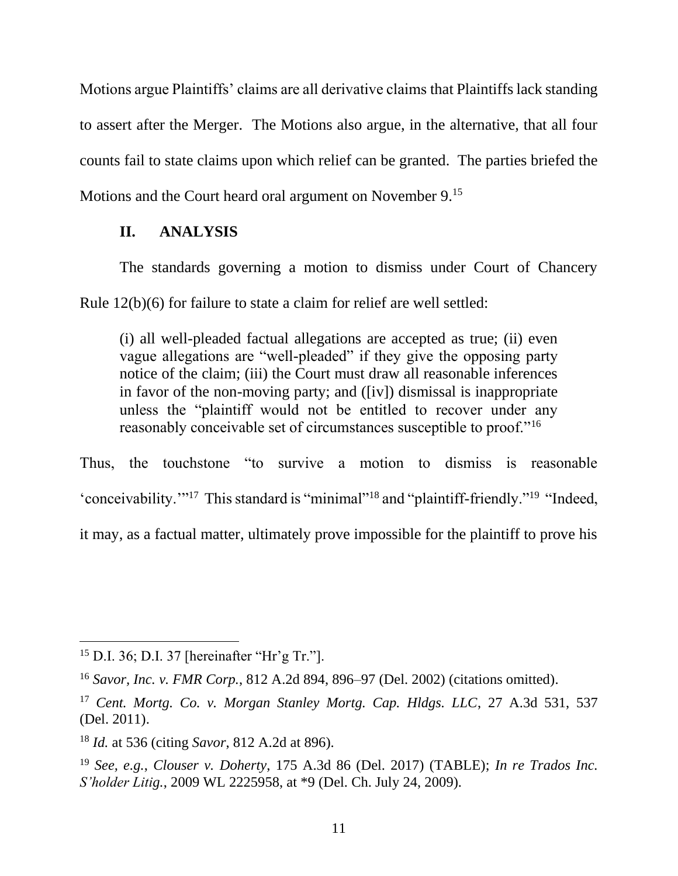Motions argue Plaintiffs' claims are all derivative claims that Plaintiffs lack standing to assert after the Merger. The Motions also argue, in the alternative, that all four counts fail to state claims upon which relief can be granted. The parties briefed the Motions and the Court heard oral argument on November 9.<sup>15</sup>

### **II. ANALYSIS**

The standards governing a motion to dismiss under Court of Chancery Rule 12(b)(6) for failure to state a claim for relief are well settled:

(i) all well-pleaded factual allegations are accepted as true; (ii) even vague allegations are "well-pleaded" if they give the opposing party notice of the claim; (iii) the Court must draw all reasonable inferences in favor of the non-moving party; and ([iv]) dismissal is inappropriate unless the "plaintiff would not be entitled to recover under any reasonably conceivable set of circumstances susceptible to proof."<sup>16</sup>

Thus, the touchstone "to survive a motion to dismiss is reasonable 'conceivability.'"<sup>17</sup> This standard is "minimal"<sup>18</sup> and "plaintiff-friendly."<sup>19</sup> "Indeed, it may, as a factual matter, ultimately prove impossible for the plaintiff to prove his

<sup>15</sup> D.I. 36; D.I. 37 [hereinafter "Hr'g Tr."].

<sup>16</sup> *Savor, Inc. v. FMR Corp.*, 812 A.2d 894, 896–97 (Del. 2002) (citations omitted).

<sup>17</sup> *Cent. Mortg. Co. v. Morgan Stanley Mortg. Cap. Hldgs. LLC*, 27 A.3d 531, 537 (Del. 2011).

<sup>18</sup> *Id.* at 536 (citing *Savor*, 812 A.2d at 896).

<sup>19</sup> *See, e.g.*, *Clouser v. Doherty*, 175 A.3d 86 (Del. 2017) (TABLE); *In re Trados Inc. S'holder Litig.*, 2009 WL 2225958, at \*9 (Del. Ch. July 24, 2009).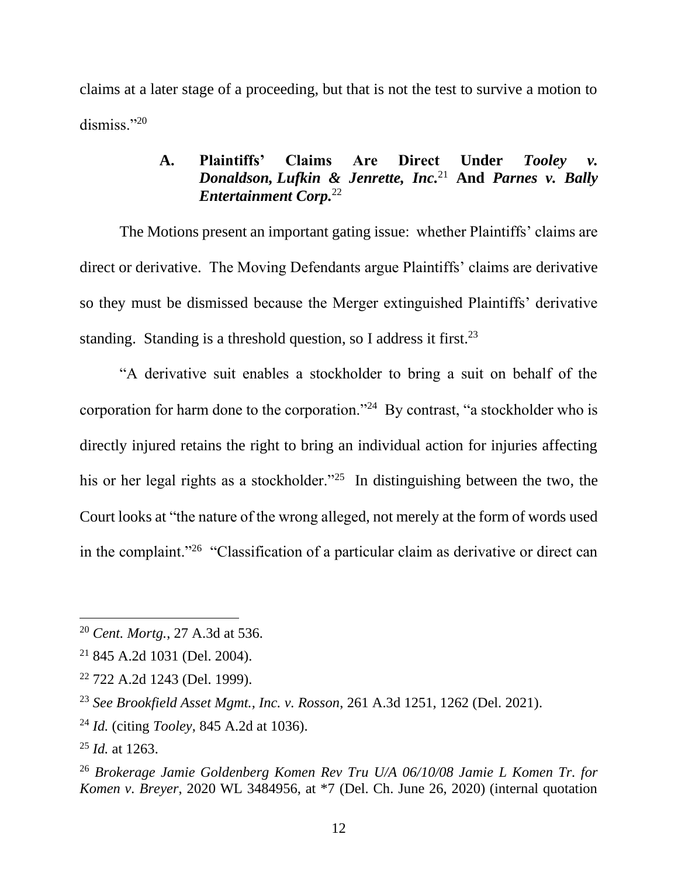claims at a later stage of a proceeding, but that is not the test to survive a motion to dismiss."20

## **A. Plaintiffs' Claims Are Direct Under** *Tooley v. Donaldson, Lufkin & Jenrette, Inc.*<sup>21</sup> **And** *Parnes v. Bally Entertainment Corp.*<sup>22</sup>

The Motions present an important gating issue: whether Plaintiffs' claims are direct or derivative. The Moving Defendants argue Plaintiffs' claims are derivative so they must be dismissed because the Merger extinguished Plaintiffs' derivative standing. Standing is a threshold question, so I address it first.<sup>23</sup>

"A derivative suit enables a stockholder to bring a suit on behalf of the corporation for harm done to the corporation."<sup>24</sup> By contrast, "a stockholder who is directly injured retains the right to bring an individual action for injuries affecting his or her legal rights as a stockholder."<sup>25</sup> In distinguishing between the two, the Court looks at "the nature of the wrong alleged, not merely at the form of words used in the complaint."<sup>26</sup> "Classification of a particular claim as derivative or direct can

<sup>20</sup> *Cent. Mortg.*, 27 A.3d at 536.

<sup>21</sup> 845 A.2d 1031 (Del. 2004).

<sup>22</sup> 722 A.2d 1243 (Del. 1999).

<sup>23</sup> *See Brookfield Asset Mgmt., Inc. v. Rosson*, 261 A.3d 1251, 1262 (Del. 2021).

<sup>24</sup> *Id.* (citing *Tooley*, 845 A.2d at 1036).

<sup>25</sup> *Id.* at 1263.

<sup>26</sup> *Brokerage Jamie Goldenberg Komen Rev Tru U/A 06/10/08 Jamie L Komen Tr. for Komen v. Breyer*, 2020 WL 3484956, at \*7 (Del. Ch. June 26, 2020) (internal quotation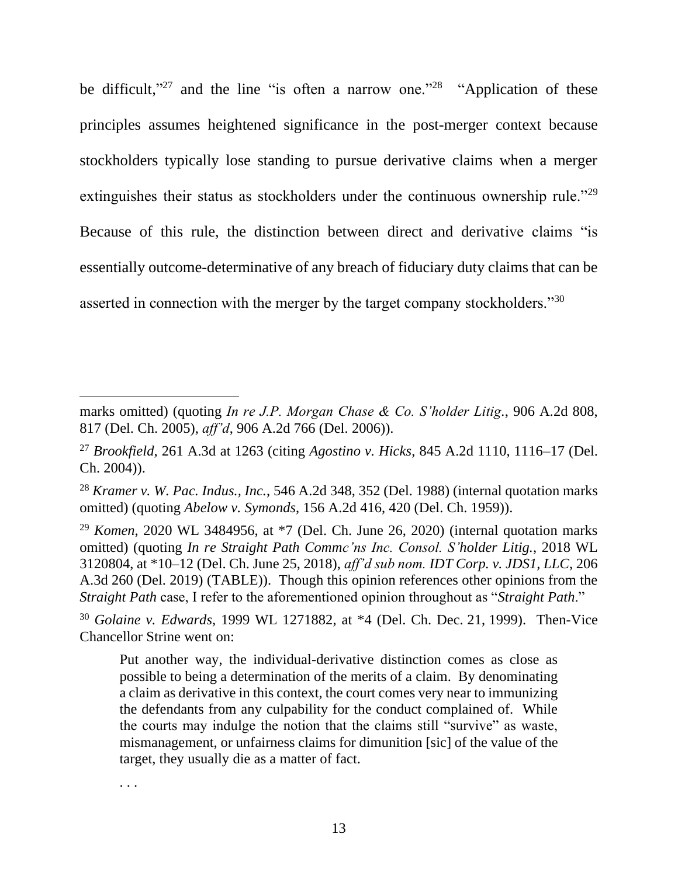be difficult,"<sup>27</sup> and the line "is often a narrow one."<sup>28</sup> "Application of these principles assumes heightened significance in the post-merger context because stockholders typically lose standing to pursue derivative claims when a merger extinguishes their status as stockholders under the continuous ownership rule."<sup>29</sup> Because of this rule, the distinction between direct and derivative claims "is essentially outcome-determinative of any breach of fiduciary duty claims that can be asserted in connection with the merger by the target company stockholders."<sup>30</sup>

marks omitted) (quoting *In re J.P. Morgan Chase & Co. S'holder Litig.*, 906 A.2d 808, 817 (Del. Ch. 2005), *aff'd*, 906 A.2d 766 (Del. 2006)).

<sup>27</sup> *Brookfield*, 261 A.3d at 1263 (citing *Agostino v. Hicks*, 845 A.2d 1110, 1116–17 (Del. Ch. 2004)).

<sup>28</sup> *Kramer v. W. Pac. Indus., Inc.*, 546 A.2d 348, 352 (Del. 1988) (internal quotation marks omitted) (quoting *Abelow v. Symonds*, 156 A.2d 416, 420 (Del. Ch. 1959)).

<sup>29</sup> *Komen*, 2020 WL 3484956, at \*7 (Del. Ch. June 26, 2020) (internal quotation marks omitted) (quoting *In re Straight Path Commc'ns Inc. Consol. S'holder Litig.*, 2018 WL 3120804, at \*10–12 (Del. Ch. June 25, 2018), *aff'd sub nom. IDT Corp. v. JDS1, LLC*, 206 A.3d 260 (Del. 2019) (TABLE)). Though this opinion references other opinions from the *Straight Path* case, I refer to the aforementioned opinion throughout as "*Straight Path*."

<sup>30</sup> *Golaine v. Edwards*, 1999 WL 1271882, at \*4 (Del. Ch. Dec. 21, 1999). Then-Vice Chancellor Strine went on:

Put another way, the individual-derivative distinction comes as close as possible to being a determination of the merits of a claim. By denominating a claim as derivative in this context, the court comes very near to immunizing the defendants from any culpability for the conduct complained of. While the courts may indulge the notion that the claims still "survive" as waste, mismanagement, or unfairness claims for dimunition [sic] of the value of the target, they usually die as a matter of fact.

<sup>. . .</sup>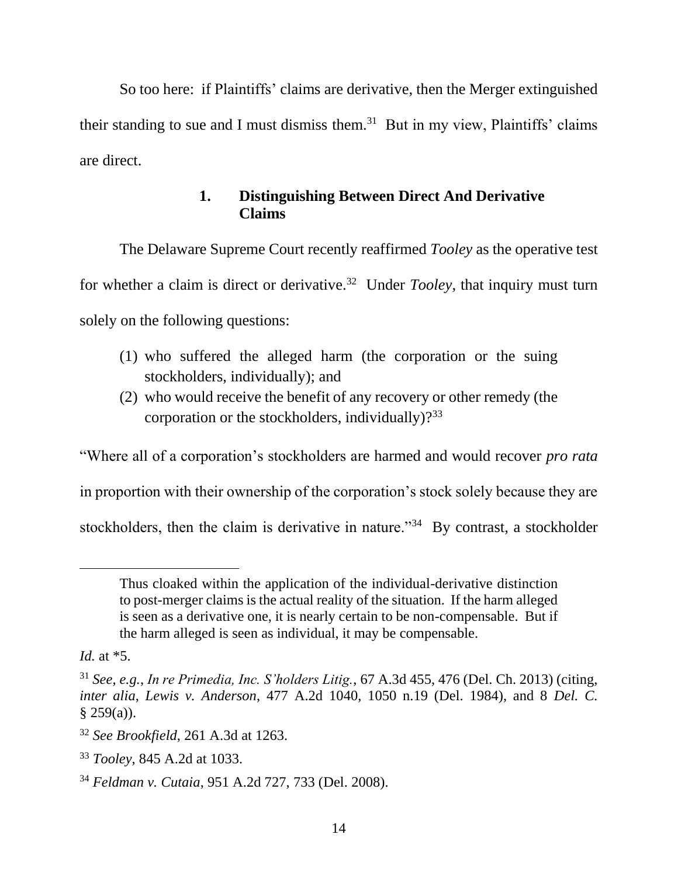So too here: if Plaintiffs' claims are derivative, then the Merger extinguished their standing to sue and I must dismiss them.<sup>31</sup> But in my view, Plaintiffs' claims are direct.

# **1. Distinguishing Between Direct And Derivative Claims**

The Delaware Supreme Court recently reaffirmed *Tooley* as the operative test for whether a claim is direct or derivative.<sup>32</sup> Under *Tooley*, that inquiry must turn solely on the following questions:

- (1) who suffered the alleged harm (the corporation or the suing stockholders, individually); and
- (2) who would receive the benefit of any recovery or other remedy (the corporation or the stockholders, individually)?<sup>33</sup>

"Where all of a corporation's stockholders are harmed and would recover *pro rata*

in proportion with their ownership of the corporation's stock solely because they are

stockholders, then the claim is derivative in nature."<sup>34</sup> By contrast, a stockholder

Thus cloaked within the application of the individual-derivative distinction to post-merger claims is the actual reality of the situation. If the harm alleged is seen as a derivative one, it is nearly certain to be non-compensable. But if the harm alleged is seen as individual, it may be compensable.

*Id.* at \*5.

<sup>31</sup> *See, e.g.*, *In re Primedia, Inc. S'holders Litig.*, 67 A.3d 455, 476 (Del. Ch. 2013) (citing, *inter alia*, *Lewis v. Anderson*, 477 A.2d 1040, 1050 n.19 (Del. 1984), and 8 *Del. C.*  $§ 259(a)$ ).

<sup>32</sup> *See Brookfield*, 261 A.3d at 1263.

<sup>33</sup> *Tooley*, 845 A.2d at 1033.

<sup>34</sup> *Feldman v. Cutaia*, 951 A.2d 727, 733 (Del. 2008).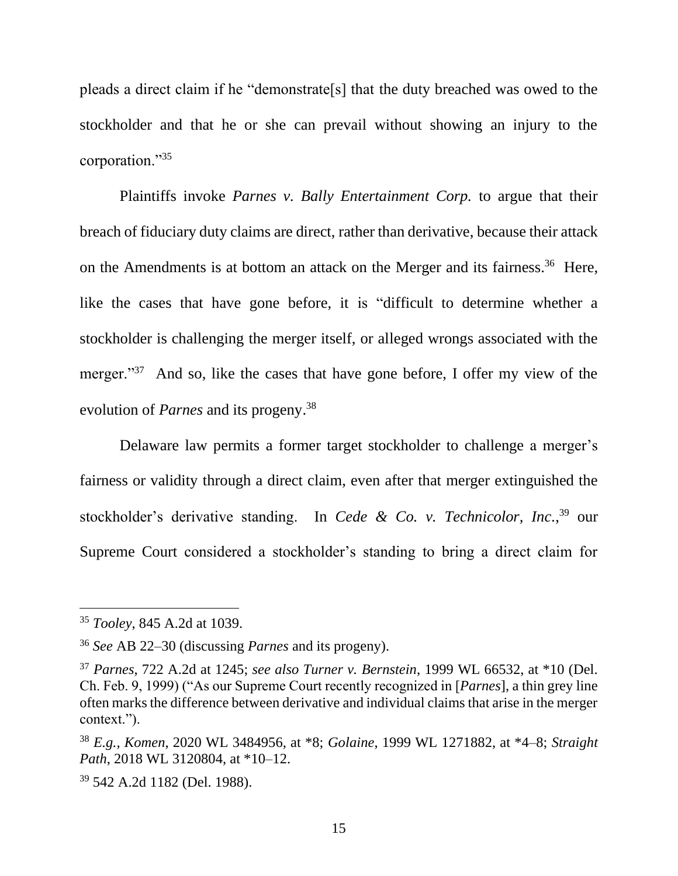pleads a direct claim if he "demonstrate[s] that the duty breached was owed to the stockholder and that he or she can prevail without showing an injury to the corporation."<sup>35</sup>

Plaintiffs invoke *Parnes v. Bally Entertainment Corp.* to argue that their breach of fiduciary duty claims are direct, rather than derivative, because their attack on the Amendments is at bottom an attack on the Merger and its fairness.<sup>36</sup> Here, like the cases that have gone before, it is "difficult to determine whether a stockholder is challenging the merger itself, or alleged wrongs associated with the merger."<sup>37</sup> And so, like the cases that have gone before, I offer my view of the evolution of *Parnes* and its progeny. 38

Delaware law permits a former target stockholder to challenge a merger's fairness or validity through a direct claim, even after that merger extinguished the stockholder's derivative standing. In *Cede & Co. v. Technicolor, Inc.*, <sup>39</sup> our Supreme Court considered a stockholder's standing to bring a direct claim for

<sup>35</sup> *Tooley*, 845 A.2d at 1039.

<sup>36</sup> *See* AB 22–30 (discussing *Parnes* and its progeny).

<sup>37</sup> *Parnes*, 722 A.2d at 1245; *see also Turner v. Bernstein*, 1999 WL 66532, at \*10 (Del. Ch. Feb. 9, 1999) ("As our Supreme Court recently recognized in [*Parnes*], a thin grey line often marks the difference between derivative and individual claims that arise in the merger context.").

<sup>38</sup> *E.g., Komen*, 2020 WL 3484956, at \*8; *Golaine*, 1999 WL 1271882, at \*4–8; *Straight Path*, 2018 WL 3120804, at \*10–12.

<sup>39</sup> 542 A.2d 1182 (Del. 1988).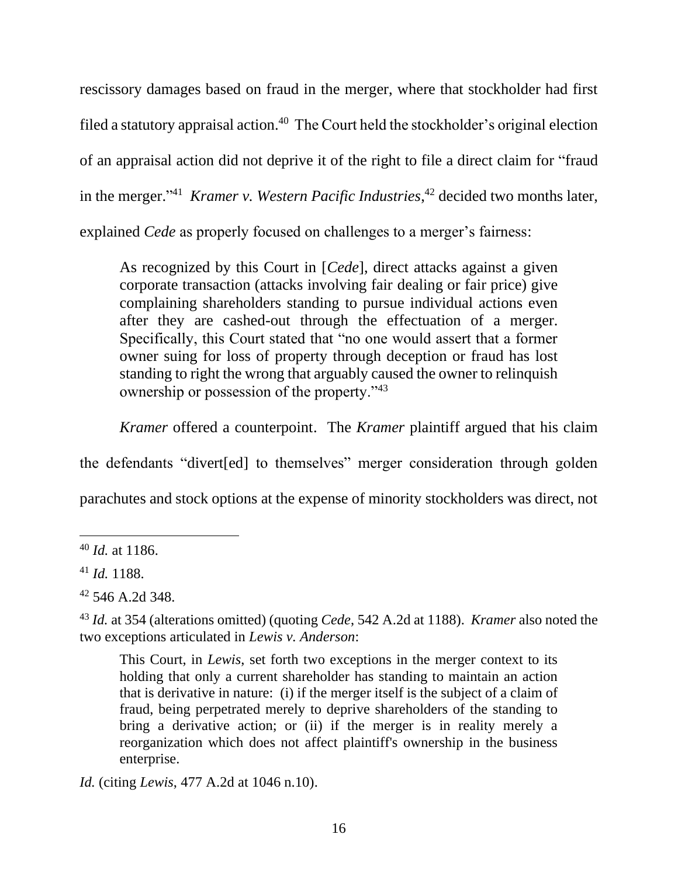rescissory damages based on fraud in the merger, where that stockholder had first filed a statutory appraisal action.<sup>40</sup> The Court held the stockholder's original election of an appraisal action did not deprive it of the right to file a direct claim for "fraud in the merger." 41 *Kramer v. Western Pacific Industries*, <sup>42</sup> decided two months later, explained *Cede* as properly focused on challenges to a merger's fairness:

As recognized by this Court in [*Cede*], direct attacks against a given corporate transaction (attacks involving fair dealing or fair price) give complaining shareholders standing to pursue individual actions even after they are cashed-out through the effectuation of a merger. Specifically, this Court stated that "no one would assert that a former owner suing for loss of property through deception or fraud has lost standing to right the wrong that arguably caused the owner to relinquish ownership or possession of the property."<sup>43</sup>

*Kramer* offered a counterpoint. The *Kramer* plaintiff argued that his claim

the defendants "divert[ed] to themselves" merger consideration through golden

parachutes and stock options at the expense of minority stockholders was direct, not

This Court, in *Lewis*, set forth two exceptions in the merger context to its holding that only a current shareholder has standing to maintain an action that is derivative in nature: (i) if the merger itself is the subject of a claim of fraud, being perpetrated merely to deprive shareholders of the standing to bring a derivative action; or (ii) if the merger is in reality merely a reorganization which does not affect plaintiff's ownership in the business enterprise.

*Id.* (citing *Lewis*, 477 A.2d at 1046 n.10).

<sup>40</sup> *Id.* at 1186.

<sup>41</sup> *Id.* 1188.

<sup>42</sup> 546 A.2d 348.

<sup>43</sup> *Id.* at 354 (alterations omitted) (quoting *Cede*, 542 A.2d at 1188). *Kramer* also noted the two exceptions articulated in *Lewis v. Anderson*: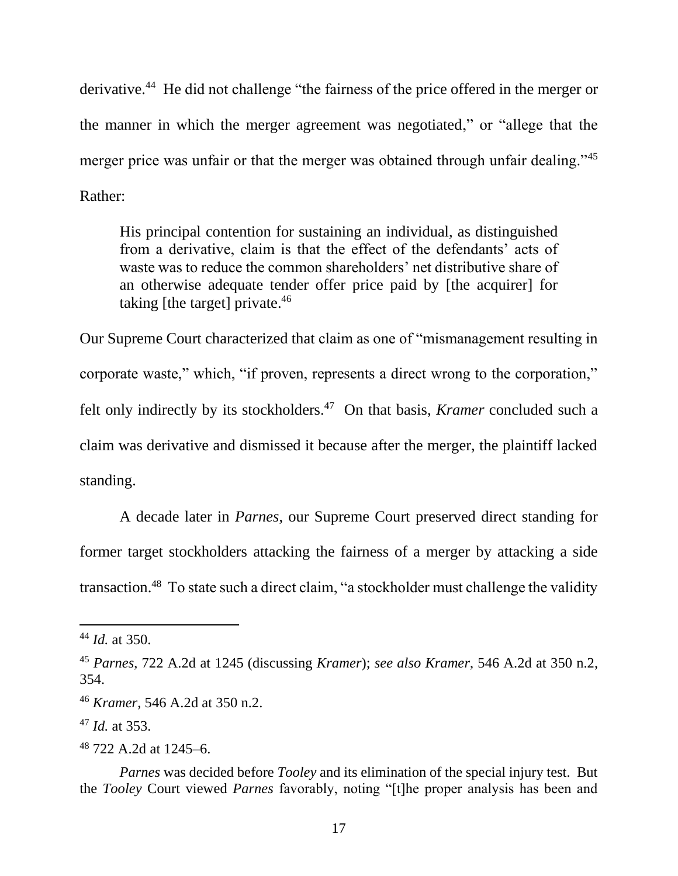derivative.<sup>44</sup> He did not challenge "the fairness of the price offered in the merger or the manner in which the merger agreement was negotiated," or "allege that the merger price was unfair or that the merger was obtained through unfair dealing."<sup>45</sup> Rather:

His principal contention for sustaining an individual, as distinguished from a derivative, claim is that the effect of the defendants' acts of waste was to reduce the common shareholders' net distributive share of an otherwise adequate tender offer price paid by [the acquirer] for taking [the target] private.  $46<sup>46</sup>$ 

Our Supreme Court characterized that claim as one of "mismanagement resulting in corporate waste," which, "if proven, represents a direct wrong to the corporation," felt only indirectly by its stockholders.<sup>47</sup> On that basis, *Kramer* concluded such a claim was derivative and dismissed it because after the merger, the plaintiff lacked standing.

A decade later in *Parnes*, our Supreme Court preserved direct standing for former target stockholders attacking the fairness of a merger by attacking a side transaction.<sup>48</sup> To state such a direct claim, "a stockholder must challenge the validity

<sup>44</sup> *Id.* at 350.

<sup>45</sup> *Parnes*, 722 A.2d at 1245 (discussing *Kramer*); *see also Kramer*, 546 A.2d at 350 n.2, 354.

<sup>46</sup> *Kramer*, 546 A.2d at 350 n.2.

<sup>47</sup> *Id.* at 353.

<sup>48</sup> 722 A.2d at 1245–6.

*Parnes* was decided before *Tooley* and its elimination of the special injury test. But the *Tooley* Court viewed *Parnes* favorably, noting "[t]he proper analysis has been and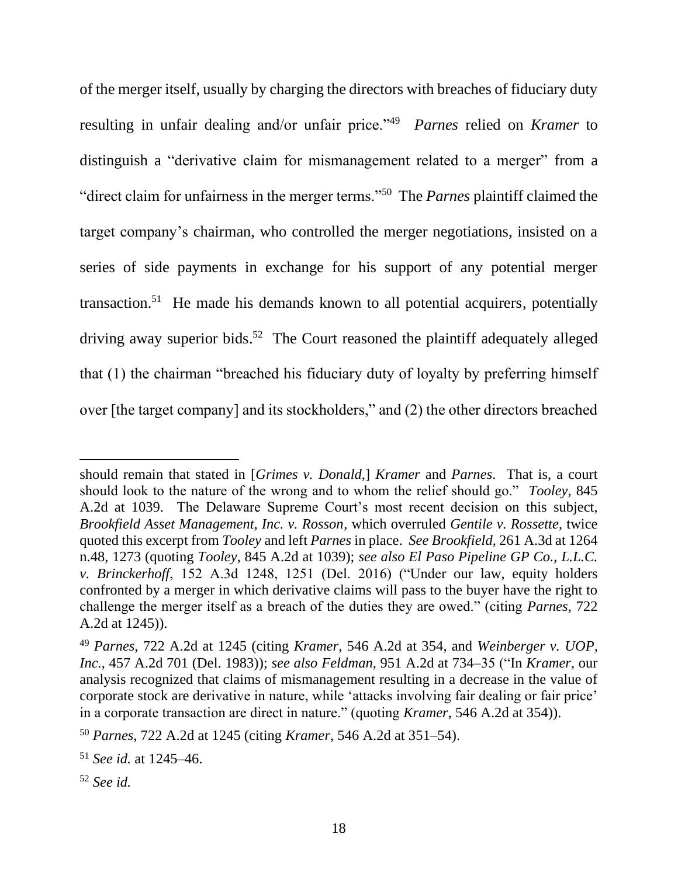of the merger itself, usually by charging the directors with breaches of fiduciary duty resulting in unfair dealing and/or unfair price."<sup>49</sup> Parnes relied on *Kramer* to distinguish a "derivative claim for mismanagement related to a merger" from a "direct claim for unfairness in the merger terms."<sup>50</sup> The *Parnes* plaintiff claimed the target company's chairman, who controlled the merger negotiations, insisted on a series of side payments in exchange for his support of any potential merger transaction.<sup>51</sup> He made his demands known to all potential acquirers, potentially driving away superior bids.<sup>52</sup> The Court reasoned the plaintiff adequately alleged that (1) the chairman "breached his fiduciary duty of loyalty by preferring himself over [the target company] and its stockholders," and (2) the other directors breached

should remain that stated in [*Grimes v. Donald*,] *Kramer* and *Parnes*. That is, a court should look to the nature of the wrong and to whom the relief should go." *Tooley*, 845 A.2d at 1039. The Delaware Supreme Court's most recent decision on this subject, *Brookfield Asset Management, Inc. v. Rosson*, which overruled *Gentile v. Rossette*, twice quoted this excerpt from *Tooley* and left *Parnes* in place. *See Brookfield*, 261 A.3d at 1264 n.48, 1273 (quoting *Tooley*, 845 A.2d at 1039); *see also El Paso Pipeline GP Co., L.L.C. v. Brinckerhoff*, 152 A.3d 1248, 1251 (Del. 2016) ("Under our law, equity holders confronted by a merger in which derivative claims will pass to the buyer have the right to challenge the merger itself as a breach of the duties they are owed." (citing *Parnes*, 722 A.2d at 1245)).

<sup>49</sup> *Parnes*, 722 A.2d at 1245 (citing *Kramer*, 546 A.2d at 354, and *Weinberger v. UOP, Inc.*, 457 A.2d 701 (Del. 1983)); *see also Feldman*, 951 A.2d at 734–35 ("In *Kramer*, our analysis recognized that claims of mismanagement resulting in a decrease in the value of corporate stock are derivative in nature, while 'attacks involving fair dealing or fair price' in a corporate transaction are direct in nature." (quoting *Kramer*, 546 A.2d at 354)).

<sup>50</sup> *Parnes*, 722 A.2d at 1245 (citing *Kramer*, 546 A.2d at 351–54).

<sup>51</sup> *See id.* at 1245–46.

<sup>52</sup> *See id.*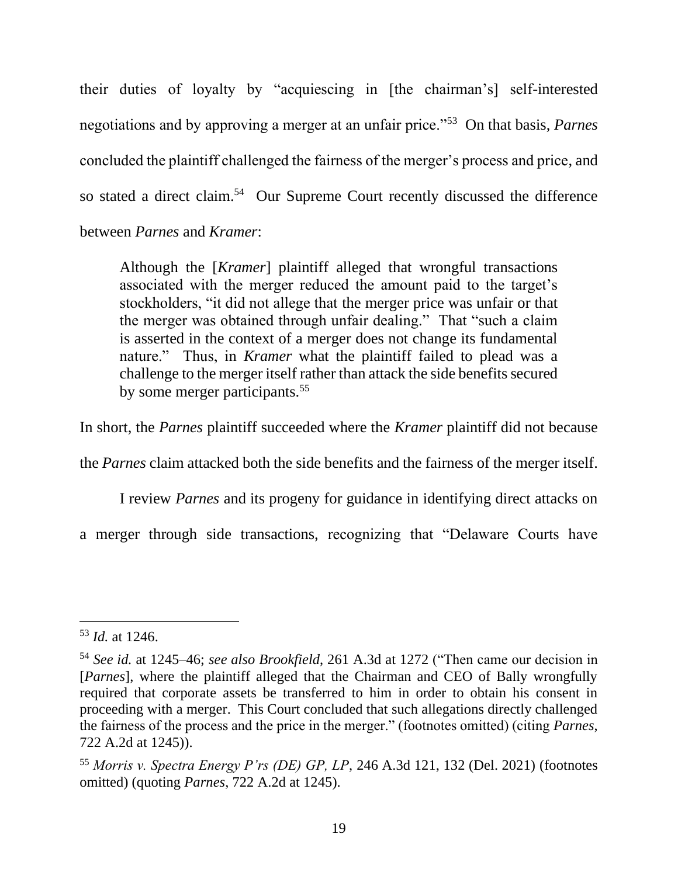their duties of loyalty by "acquiescing in [the chairman's] self-interested negotiations and by approving a merger at an unfair price."<sup>53</sup> On that basis, *Parnes* concluded the plaintiff challenged the fairness of the merger's process and price, and so stated a direct claim.<sup>54</sup> Our Supreme Court recently discussed the difference between *Parnes* and *Kramer*:

Although the [*Kramer*] plaintiff alleged that wrongful transactions associated with the merger reduced the amount paid to the target's stockholders, "it did not allege that the merger price was unfair or that the merger was obtained through unfair dealing." That "such a claim is asserted in the context of a merger does not change its fundamental nature." Thus, in *Kramer* what the plaintiff failed to plead was a challenge to the merger itself rather than attack the side benefits secured by some merger participants.<sup>55</sup>

In short, the *Parnes* plaintiff succeeded where the *Kramer* plaintiff did not because

the *Parnes* claim attacked both the side benefits and the fairness of the merger itself.

I review *Parnes* and its progeny for guidance in identifying direct attacks on

a merger through side transactions, recognizing that "Delaware Courts have

<sup>53</sup> *Id.* at 1246.

<sup>54</sup> *See id.* at 1245–46; *see also Brookfield*, 261 A.3d at 1272 ("Then came our decision in [*Parnes*], where the plaintiff alleged that the Chairman and CEO of Bally wrongfully required that corporate assets be transferred to him in order to obtain his consent in proceeding with a merger. This Court concluded that such allegations directly challenged the fairness of the process and the price in the merger." (footnotes omitted) (citing *Parnes*, 722 A.2d at 1245)).

<sup>55</sup> *Morris v. Spectra Energy P'rs (DE) GP, LP*, 246 A.3d 121, 132 (Del. 2021) (footnotes omitted) (quoting *Parnes*, 722 A.2d at 1245).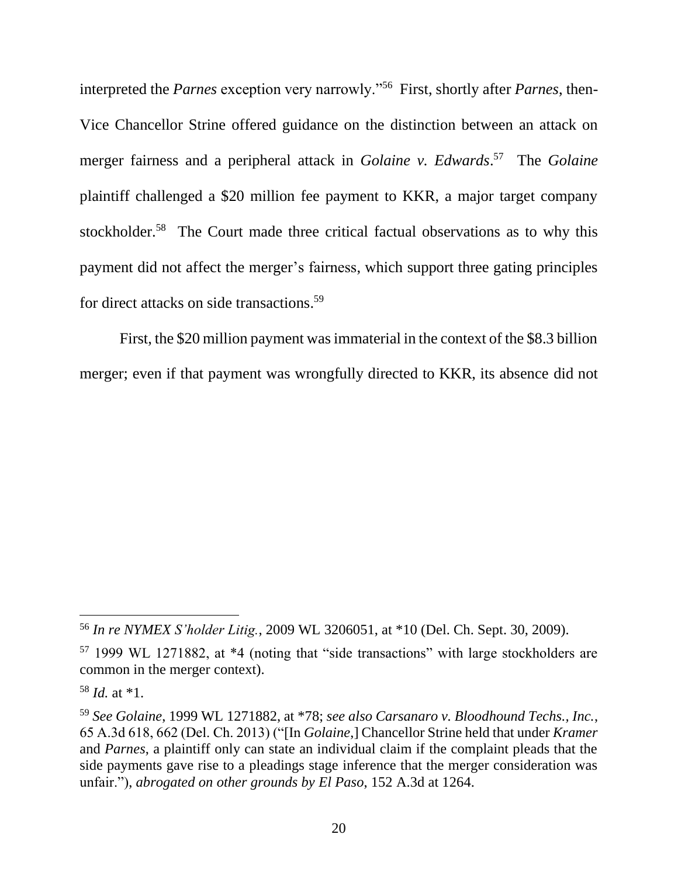interpreted the *Parnes* exception very narrowly."<sup>56</sup> First, shortly after *Parnes*, then-Vice Chancellor Strine offered guidance on the distinction between an attack on merger fairness and a peripheral attack in *Golaine v. Edwards*. 57 The *Golaine* plaintiff challenged a \$20 million fee payment to KKR, a major target company stockholder.<sup>58</sup> The Court made three critical factual observations as to why this payment did not affect the merger's fairness, which support three gating principles for direct attacks on side transactions. 59

First, the \$20 million payment was immaterial in the context of the \$8.3 billion merger; even if that payment was wrongfully directed to KKR, its absence did not

<sup>56</sup> *In re NYMEX S'holder Litig.*, 2009 WL 3206051, at \*10 (Del. Ch. Sept. 30, 2009).

<sup>57</sup> 1999 WL 1271882, at \*4 (noting that "side transactions" with large stockholders are common in the merger context).

<sup>58</sup> *Id.* at \*1.

<sup>59</sup> *See Golaine*, 1999 WL 1271882, at \*78; *see also Carsanaro v. Bloodhound Techs., Inc.*, 65 A.3d 618, 662 (Del. Ch. 2013) ("[In *Golaine*,] Chancellor Strine held that under *Kramer* and *Parnes*, a plaintiff only can state an individual claim if the complaint pleads that the side payments gave rise to a pleadings stage inference that the merger consideration was unfair."), *abrogated on other grounds by El Paso*, 152 A.3d at 1264.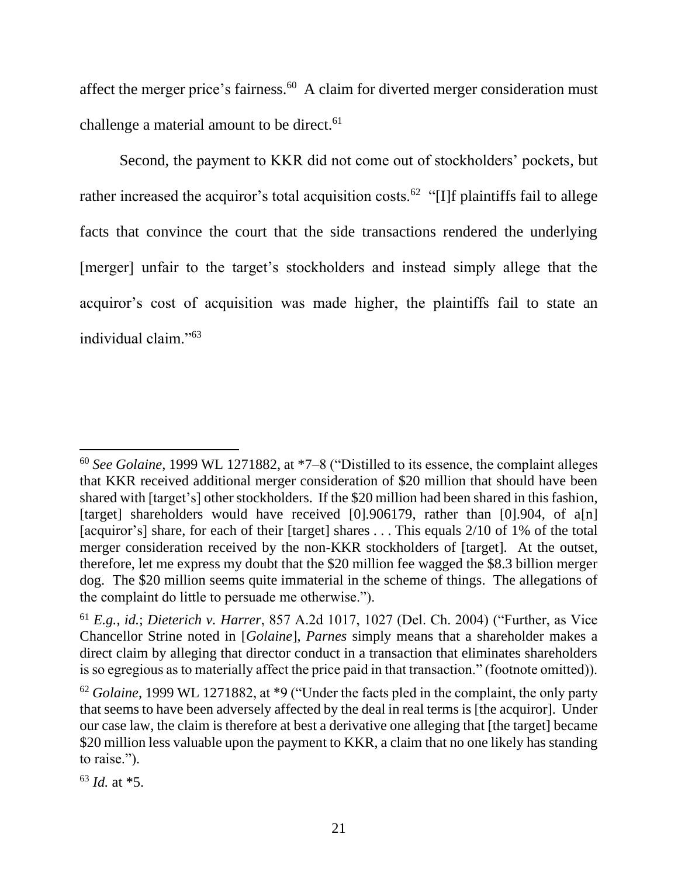affect the merger price's fairness.<sup>60</sup> A claim for diverted merger consideration must challenge a material amount to be direct.<sup>61</sup>

Second, the payment to KKR did not come out of stockholders' pockets, but rather increased the acquiror's total acquisition costs.<sup>62</sup> "[I]f plaintiffs fail to allege facts that convince the court that the side transactions rendered the underlying [merger] unfair to the target's stockholders and instead simply allege that the acquiror's cost of acquisition was made higher, the plaintiffs fail to state an individual claim."<sup>63</sup>

<sup>60</sup> *See Golaine*, 1999 WL 1271882, at \*7–8 ("Distilled to its essence, the complaint alleges that KKR received additional merger consideration of \$20 million that should have been shared with [target's] other stockholders. If the \$20 million had been shared in this fashion, [target] shareholders would have received [0].906179, rather than [0].904, of a[n] [acquiror's] share, for each of their [target] shares ... This equals 2/10 of 1% of the total merger consideration received by the non-KKR stockholders of [target]. At the outset, therefore, let me express my doubt that the \$20 million fee wagged the \$8.3 billion merger dog. The \$20 million seems quite immaterial in the scheme of things. The allegations of the complaint do little to persuade me otherwise.").

<sup>61</sup> *E.g.*, *id.*; *Dieterich v. Harrer*, 857 A.2d 1017, 1027 (Del. Ch. 2004) ("Further, as Vice Chancellor Strine noted in [*Golaine*], *Parnes* simply means that a shareholder makes a direct claim by alleging that director conduct in a transaction that eliminates shareholders is so egregious as to materially affect the price paid in that transaction." (footnote omitted)).

<sup>62</sup> *Golaine*, 1999 WL 1271882, at \*9 ("Under the facts pled in the complaint, the only party that seems to have been adversely affected by the deal in real terms is [the acquiror]. Under our case law, the claim is therefore at best a derivative one alleging that [the target] became \$20 million less valuable upon the payment to KKR, a claim that no one likely has standing to raise.").

<sup>63</sup> *Id.* at \*5.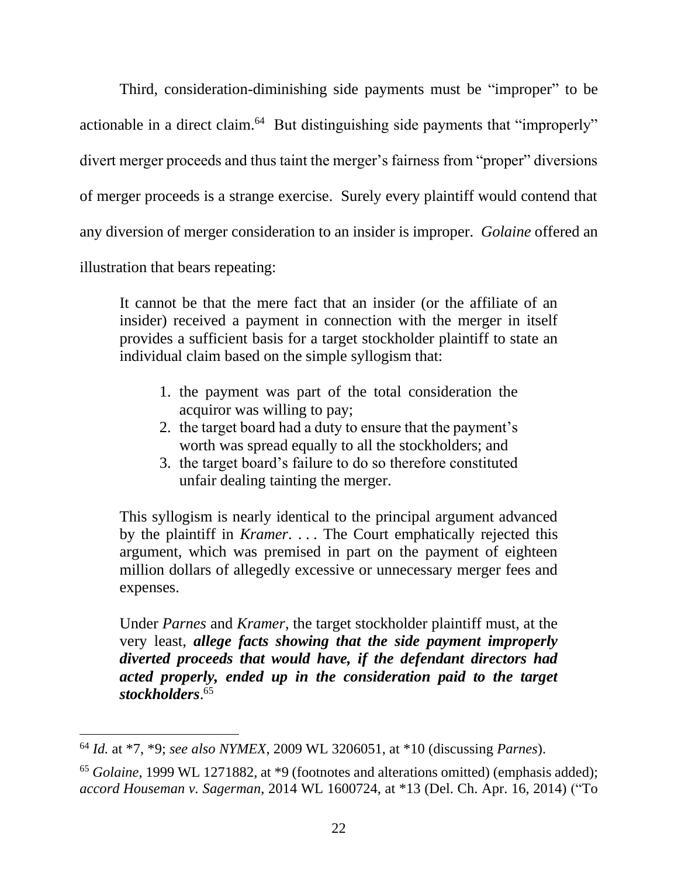Third, consideration-diminishing side payments must be "improper" to be actionable in a direct claim.<sup>64</sup> But distinguishing side payments that "improperly" divert merger proceeds and thus taint the merger's fairness from "proper" diversions of merger proceeds is a strange exercise. Surely every plaintiff would contend that any diversion of merger consideration to an insider is improper. *Golaine* offered an illustration that bears repeating:

It cannot be that the mere fact that an insider (or the affiliate of an insider) received a payment in connection with the merger in itself provides a sufficient basis for a target stockholder plaintiff to state an individual claim based on the simple syllogism that:

- 1. the payment was part of the total consideration the acquiror was willing to pay;
- 2. the target board had a duty to ensure that the payment's worth was spread equally to all the stockholders; and
- 3. the target board's failure to do so therefore constituted unfair dealing tainting the merger.

This syllogism is nearly identical to the principal argument advanced by the plaintiff in *Kramer*. . . . The Court emphatically rejected this argument, which was premised in part on the payment of eighteen million dollars of allegedly excessive or unnecessary merger fees and expenses.

Under *Parnes* and *Kramer*, the target stockholder plaintiff must, at the very least, *allege facts showing that the side payment improperly diverted proceeds that would have, if the defendant directors had acted properly, ended up in the consideration paid to the target stockholders*. 65

<sup>64</sup> *Id.* at \*7, \*9; *see also NYMEX*, 2009 WL 3206051, at \*10 (discussing *Parnes*).

<sup>65</sup> *Golaine*, 1999 WL 1271882, at \*9 (footnotes and alterations omitted) (emphasis added); *accord Houseman v. Sagerman*, 2014 WL 1600724, at \*13 (Del. Ch. Apr. 16, 2014) ("To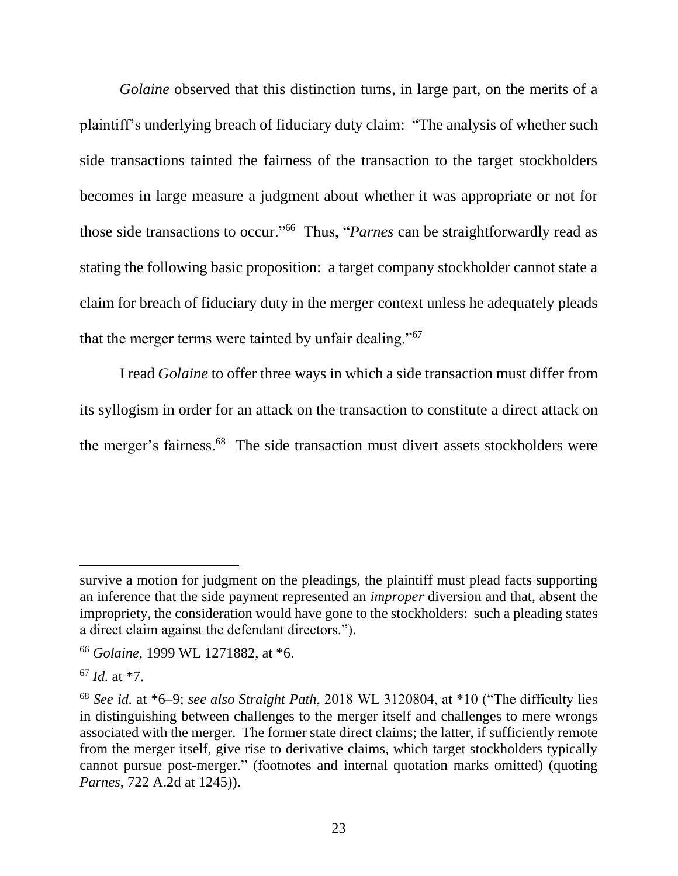*Golaine* observed that this distinction turns, in large part, on the merits of a plaintiff's underlying breach of fiduciary duty claim: "The analysis of whether such side transactions tainted the fairness of the transaction to the target stockholders becomes in large measure a judgment about whether it was appropriate or not for those side transactions to occur."<sup>66</sup> Thus, "*Parnes* can be straightforwardly read as stating the following basic proposition: a target company stockholder cannot state a claim for breach of fiduciary duty in the merger context unless he adequately pleads that the merger terms were tainted by unfair dealing."<sup>67</sup>

I read *Golaine* to offer three ways in which a side transaction must differ from its syllogism in order for an attack on the transaction to constitute a direct attack on the merger's fairness. 68 The side transaction must divert assets stockholders were

survive a motion for judgment on the pleadings, the plaintiff must plead facts supporting an inference that the side payment represented an *improper* diversion and that, absent the impropriety, the consideration would have gone to the stockholders: such a pleading states a direct claim against the defendant directors.").

<sup>66</sup> *Golaine*, 1999 WL 1271882, at \*6.

<sup>67</sup> *Id.* at \*7.

<sup>68</sup> *See id.* at \*6–9; *see also Straight Path*, 2018 WL 3120804, at \*10 ("The difficulty lies in distinguishing between challenges to the merger itself and challenges to mere wrongs associated with the merger. The former state direct claims; the latter, if sufficiently remote from the merger itself, give rise to derivative claims, which target stockholders typically cannot pursue post-merger." (footnotes and internal quotation marks omitted) (quoting *Parnes*, 722 A.2d at 1245)).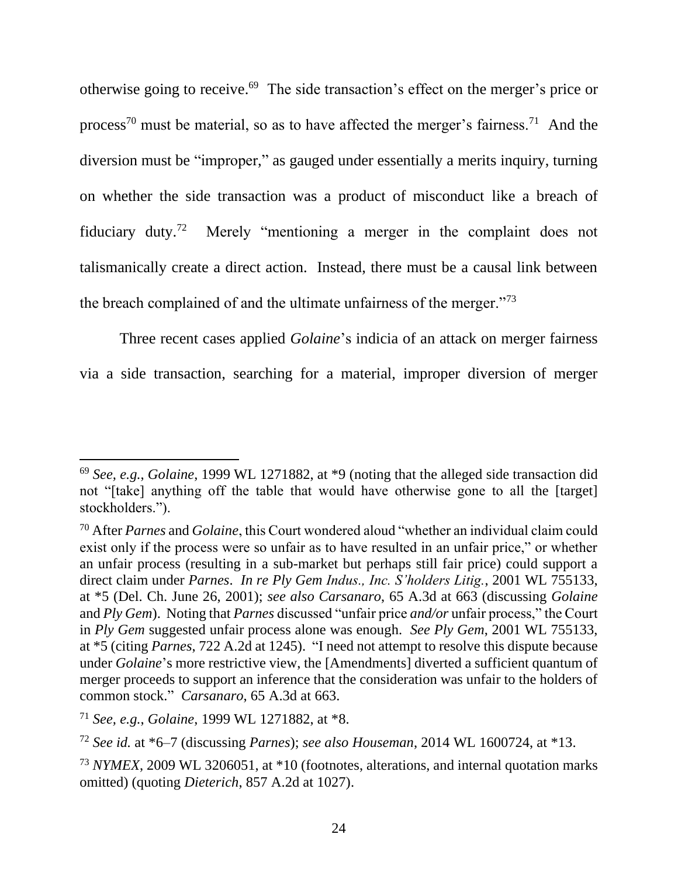otherwise going to receive. 69 The side transaction's effect on the merger's price or process<sup>70</sup> must be material, so as to have affected the merger's fairness.<sup>71</sup> And the diversion must be "improper," as gauged under essentially a merits inquiry, turning on whether the side transaction was a product of misconduct like a breach of fiduciary duty.<sup>72</sup> Merely "mentioning a merger in the complaint does not talismanically create a direct action. Instead, there must be a causal link between the breach complained of and the ultimate unfairness of the merger."<sup>73</sup>

Three recent cases applied *Golaine*'s indicia of an attack on merger fairness via a side transaction, searching for a material, improper diversion of merger

<sup>69</sup> *See, e.g.*, *Golaine*, 1999 WL 1271882, at \*9 (noting that the alleged side transaction did not "[take] anything off the table that would have otherwise gone to all the [target] stockholders.").

<sup>70</sup> After *Parnes* and *Golaine*, this Court wondered aloud "whether an individual claim could exist only if the process were so unfair as to have resulted in an unfair price," or whether an unfair process (resulting in a sub-market but perhaps still fair price) could support a direct claim under *Parnes*. *In re Ply Gem Indus., Inc. S'holders Litig.*, 2001 WL 755133, at \*5 (Del. Ch. June 26, 2001); *see also Carsanaro*, 65 A.3d at 663 (discussing *Golaine* and *Ply Gem*). Noting that *Parnes* discussed "unfair price *and/or* unfair process," the Court in *Ply Gem* suggested unfair process alone was enough. *See Ply Gem*, 2001 WL 755133, at \*5 (citing *Parnes*, 722 A.2d at 1245). "I need not attempt to resolve this dispute because under *Golaine*'s more restrictive view, the [Amendments] diverted a sufficient quantum of merger proceeds to support an inference that the consideration was unfair to the holders of common stock." *Carsanaro*, 65 A.3d at 663.

<sup>71</sup> *See, e.g.*, *Golaine*, 1999 WL 1271882, at \*8.

<sup>72</sup> *See id.* at \*6–7 (discussing *Parnes*); *see also Houseman*, 2014 WL 1600724, at \*13.

<sup>73</sup> *NYMEX*, 2009 WL 3206051, at \*10 (footnotes, alterations, and internal quotation marks omitted) (quoting *Dieterich*, 857 A.2d at 1027).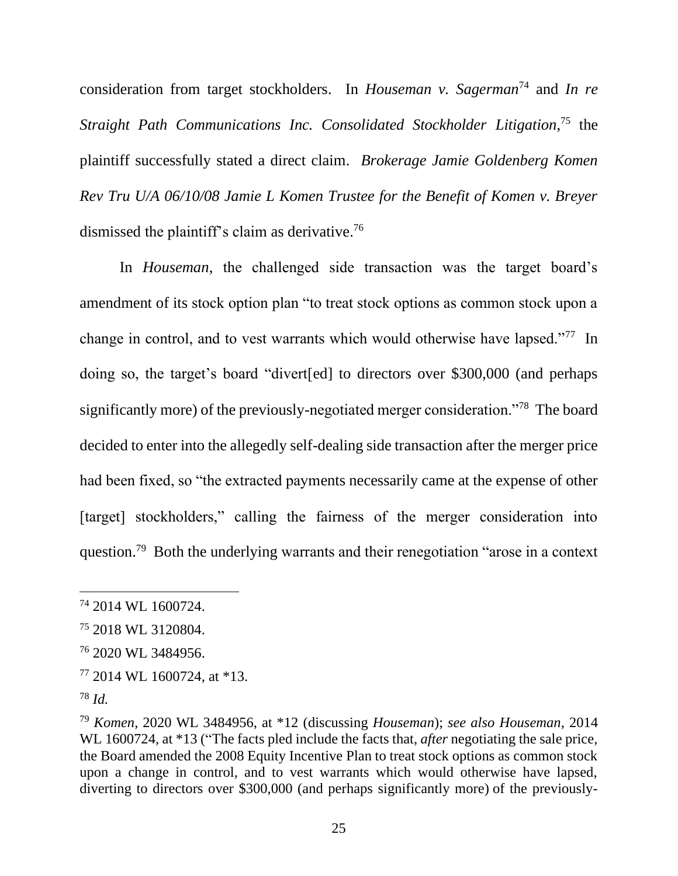consideration from target stockholders. In *Houseman v. Sagerman*<sup>74</sup> and *In re Straight Path Communications Inc. Consolidated Stockholder Litigation*, <sup>75</sup> the plaintiff successfully stated a direct claim. *Brokerage Jamie Goldenberg Komen Rev Tru U/A 06/10/08 Jamie L Komen Trustee for the Benefit of Komen v. Breyer* dismissed the plaintiff's claim as derivative.<sup>76</sup>

In *Houseman*, the challenged side transaction was the target board's amendment of its stock option plan "to treat stock options as common stock upon a change in control, and to vest warrants which would otherwise have lapsed."<sup>77</sup> In doing so, the target's board "divert[ed] to directors over \$300,000 (and perhaps significantly more) of the previously-negotiated merger consideration."<sup>78</sup> The board decided to enter into the allegedly self-dealing side transaction after the merger price had been fixed, so "the extracted payments necessarily came at the expense of other [target] stockholders," calling the fairness of the merger consideration into question.<sup>79</sup> Both the underlying warrants and their renegotiation "arose in a context

<sup>74</sup> 2014 WL 1600724.

<sup>75</sup> 2018 WL 3120804.

<sup>76</sup> 2020 WL 3484956.

<sup>77</sup> 2014 WL 1600724, at \*13.

<sup>78</sup> *Id.*

<sup>79</sup> *Komen*, 2020 WL 3484956, at \*12 (discussing *Houseman*); *see also Houseman*, 2014 WL 1600724, at \*13 ("The facts pled include the facts that, *after* negotiating the sale price, the Board amended the 2008 Equity Incentive Plan to treat stock options as common stock upon a change in control, and to vest warrants which would otherwise have lapsed, diverting to directors over \$300,000 (and perhaps significantly more) of the previously-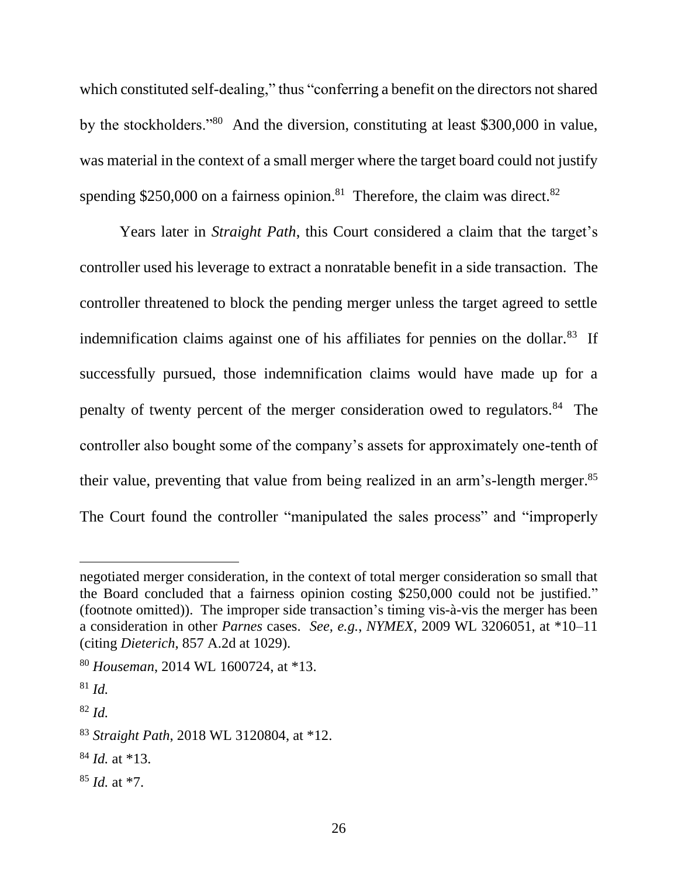which constituted self-dealing," thus "conferring a benefit on the directors not shared by the stockholders."<sup>80</sup> And the diversion, constituting at least \$300,000 in value, was material in the context of a small merger where the target board could not justify spending \$250,000 on a fairness opinion.<sup>81</sup> Therefore, the claim was direct.<sup>82</sup>

Years later in *Straight Path*, this Court considered a claim that the target's controller used his leverage to extract a nonratable benefit in a side transaction. The controller threatened to block the pending merger unless the target agreed to settle indemnification claims against one of his affiliates for pennies on the dollar.<sup>83</sup> If successfully pursued, those indemnification claims would have made up for a penalty of twenty percent of the merger consideration owed to regulators.<sup>84</sup> The controller also bought some of the company's assets for approximately one-tenth of their value, preventing that value from being realized in an arm's-length merger.<sup>85</sup> The Court found the controller "manipulated the sales process" and "improperly

- <sup>84</sup> *Id.* at \*13.
- <sup>85</sup> *Id.* at \*7.

negotiated merger consideration, in the context of total merger consideration so small that the Board concluded that a fairness opinion costing \$250,000 could not be justified." (footnote omitted)). The improper side transaction's timing vis-à-vis the merger has been a consideration in other *Parnes* cases. *See, e.g.*, *NYMEX*, 2009 WL 3206051, at \*10–11 (citing *Dieterich*, 857 A.2d at 1029).

<sup>80</sup> *Houseman*, 2014 WL 1600724, at \*13.

<sup>81</sup> *Id.*

<sup>82</sup> *Id.*

<sup>83</sup> *Straight Path*, 2018 WL 3120804, at \*12.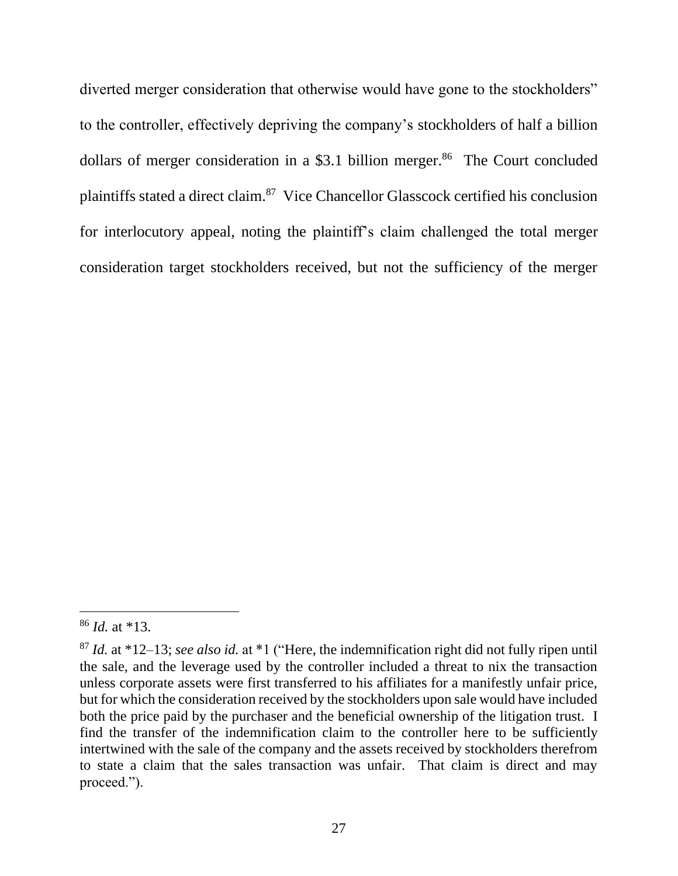diverted merger consideration that otherwise would have gone to the stockholders" to the controller, effectively depriving the company's stockholders of half a billion dollars of merger consideration in a \$3.1 billion merger.<sup>86</sup> The Court concluded plaintiffs stated a direct claim.<sup>87</sup> Vice Chancellor Glasscock certified his conclusion for interlocutory appeal, noting the plaintiff's claim challenged the total merger consideration target stockholders received, but not the sufficiency of the merger

<sup>86</sup> *Id.* at \*13.

<sup>87</sup> *Id.* at \*12–13; *see also id.* at \*1 ("Here, the indemnification right did not fully ripen until the sale, and the leverage used by the controller included a threat to nix the transaction unless corporate assets were first transferred to his affiliates for a manifestly unfair price, but for which the consideration received by the stockholders upon sale would have included both the price paid by the purchaser and the beneficial ownership of the litigation trust. I find the transfer of the indemnification claim to the controller here to be sufficiently intertwined with the sale of the company and the assets received by stockholders therefrom to state a claim that the sales transaction was unfair. That claim is direct and may proceed.").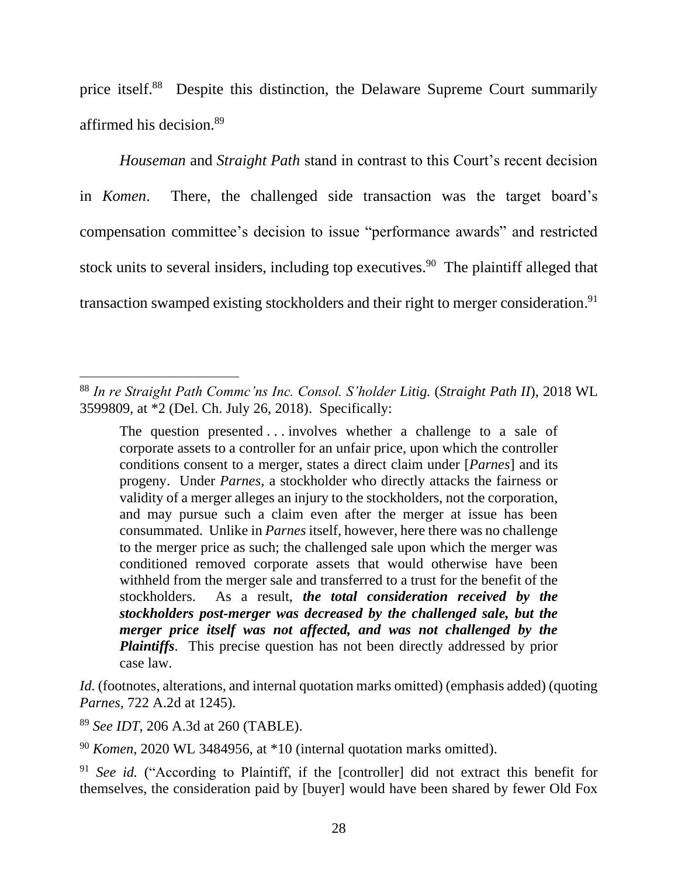price itself.<sup>88</sup> Despite this distinction, the Delaware Supreme Court summarily affirmed his decision.<sup>89</sup>

*Houseman* and *Straight Path* stand in contrast to this Court's recent decision in *Komen*. There, the challenged side transaction was the target board's compensation committee's decision to issue "performance awards" and restricted stock units to several insiders, including top executives.<sup>90</sup> The plaintiff alleged that transaction swamped existing stockholders and their right to merger consideration. 91

*Id.* (footnotes, alterations, and internal quotation marks omitted) (emphasis added) (quoting *Parnes*, 722 A.2d at 1245).

<sup>89</sup> *See IDT*, 206 A.3d at 260 (TABLE).

<sup>88</sup> *In re Straight Path Commc'ns Inc. Consol. S'holder Litig.* (*Straight Path II*), 2018 WL 3599809, at \*2 (Del. Ch. July 26, 2018). Specifically:

The question presented . . . involves whether a challenge to a sale of corporate assets to a controller for an unfair price, upon which the controller conditions consent to a merger, states a direct claim under [*Parnes*] and its progeny. Under *Parnes*, a stockholder who directly attacks the fairness or validity of a merger alleges an injury to the stockholders, not the corporation, and may pursue such a claim even after the merger at issue has been consummated. Unlike in *Parnes* itself, however, here there was no challenge to the merger price as such; the challenged sale upon which the merger was conditioned removed corporate assets that would otherwise have been withheld from the merger sale and transferred to a trust for the benefit of the stockholders. As a result, *the total consideration received by the stockholders post-merger was decreased by the challenged sale, but the merger price itself was not affected, and was not challenged by the Plaintiffs*. This precise question has not been directly addressed by prior case law.

<sup>90</sup> *Komen*, 2020 WL 3484956, at \*10 (internal quotation marks omitted).

<sup>&</sup>lt;sup>91</sup> *See id.* ("According to Plaintiff, if the [controller] did not extract this benefit for themselves, the consideration paid by [buyer] would have been shared by fewer Old Fox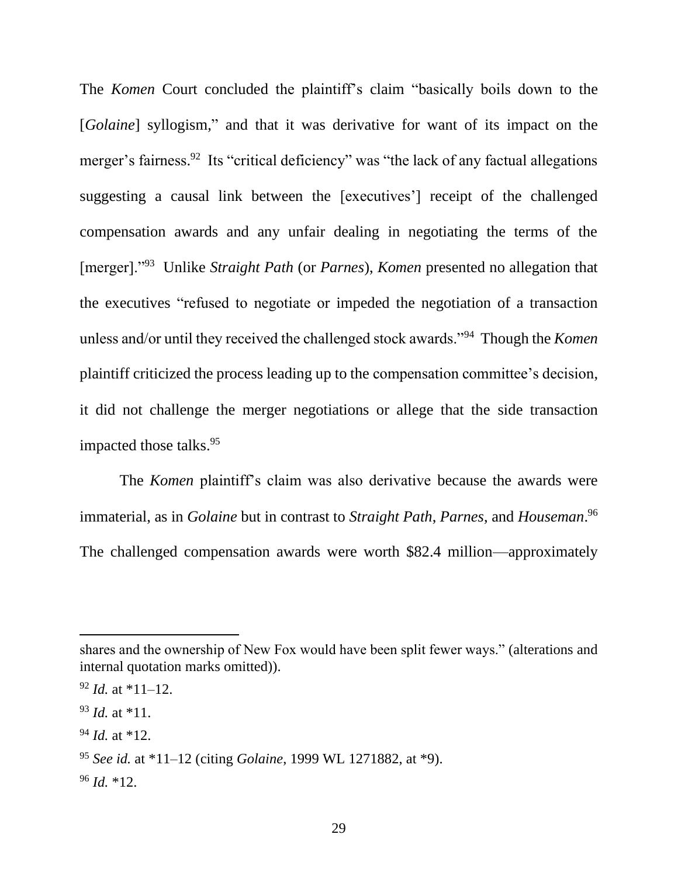The *Komen* Court concluded the plaintiff's claim "basically boils down to the [*Golaine*] syllogism," and that it was derivative for want of its impact on the merger's fairness.<sup>92</sup> Its "critical deficiency" was "the lack of any factual allegations suggesting a causal link between the [executives'] receipt of the challenged compensation awards and any unfair dealing in negotiating the terms of the [merger]."<sup>93</sup> Unlike *Straight Path* (or *Parnes*), *Komen* presented no allegation that the executives "refused to negotiate or impeded the negotiation of a transaction unless and/or until they received the challenged stock awards."<sup>94</sup> Though the *Komen*  plaintiff criticized the process leading up to the compensation committee's decision, it did not challenge the merger negotiations or allege that the side transaction impacted those talks.<sup>95</sup>

The *Komen* plaintiff's claim was also derivative because the awards were immaterial, as in *Golaine* but in contrast to *Straight Path*, *Parnes*, and *Houseman*. 96 The challenged compensation awards were worth \$82.4 million—approximately

shares and the ownership of New Fox would have been split fewer ways." (alterations and internal quotation marks omitted)).

 $92$  *Id.* at \*11–12.

<sup>93</sup> *Id.* at \*11.

<sup>94</sup> *Id.* at \*12.

<sup>95</sup> *See id.* at \*11–12 (citing *Golaine*, 1999 WL 1271882, at \*9).

 $96$  *Id.*  $*12$ .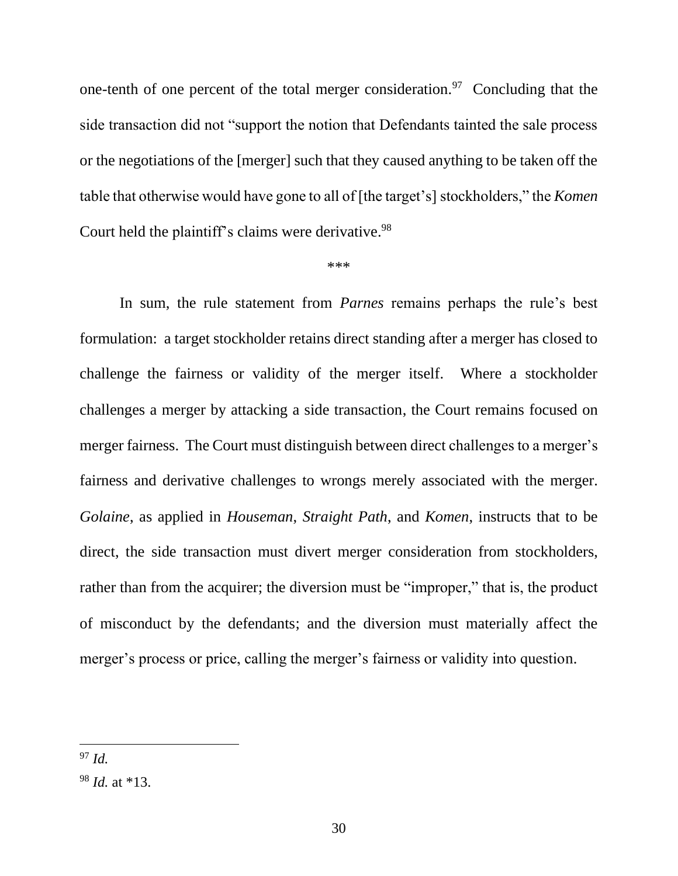one-tenth of one percent of the total merger consideration.<sup>97</sup> Concluding that the side transaction did not "support the notion that Defendants tainted the sale process or the negotiations of the [merger] such that they caused anything to be taken off the table that otherwise would have gone to all of [the target's] stockholders," the *Komen* Court held the plaintiff's claims were derivative.<sup>98</sup>

#### \*\*\*

In sum, the rule statement from *Parnes* remains perhaps the rule's best formulation: a target stockholder retains direct standing after a merger has closed to challenge the fairness or validity of the merger itself. Where a stockholder challenges a merger by attacking a side transaction, the Court remains focused on merger fairness. The Court must distinguish between direct challenges to a merger's fairness and derivative challenges to wrongs merely associated with the merger. *Golaine*, as applied in *Houseman*, *Straight Path*, and *Komen*, instructs that to be direct, the side transaction must divert merger consideration from stockholders, rather than from the acquirer; the diversion must be "improper," that is, the product of misconduct by the defendants; and the diversion must materially affect the merger's process or price, calling the merger's fairness or validity into question.

<sup>97</sup> *Id.*

<sup>98</sup> *Id.* at \*13.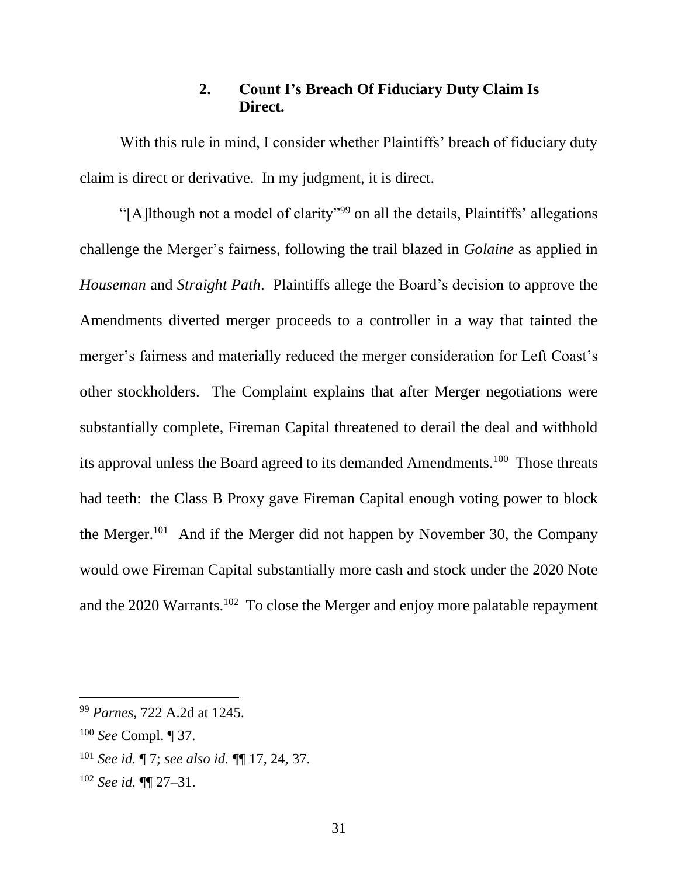## **2. Count I's Breach Of Fiduciary Duty Claim Is Direct.**

With this rule in mind, I consider whether Plaintiffs' breach of fiduciary duty claim is direct or derivative. In my judgment, it is direct.

"[A]lthough not a model of clarity"<sup>99</sup> on all the details, Plaintiffs' allegations challenge the Merger's fairness, following the trail blazed in *Golaine* as applied in *Houseman* and *Straight Path*. Plaintiffs allege the Board's decision to approve the Amendments diverted merger proceeds to a controller in a way that tainted the merger's fairness and materially reduced the merger consideration for Left Coast's other stockholders. The Complaint explains that after Merger negotiations were substantially complete, Fireman Capital threatened to derail the deal and withhold its approval unless the Board agreed to its demanded Amendments.<sup>100</sup> Those threats had teeth: the Class B Proxy gave Fireman Capital enough voting power to block the Merger.<sup>101</sup> And if the Merger did not happen by November 30, the Company would owe Fireman Capital substantially more cash and stock under the 2020 Note and the  $2020$  Warrants.<sup>102</sup> To close the Merger and enjoy more palatable repayment

<sup>99</sup> *Parnes*, 722 A.2d at 1245.

<sup>100</sup> *See* Compl. ¶ 37.

<sup>101</sup> *See id.* ¶ 7; *see also id.* ¶¶ 17, 24, 37.

<sup>102</sup> *See id.* ¶¶ 27–31.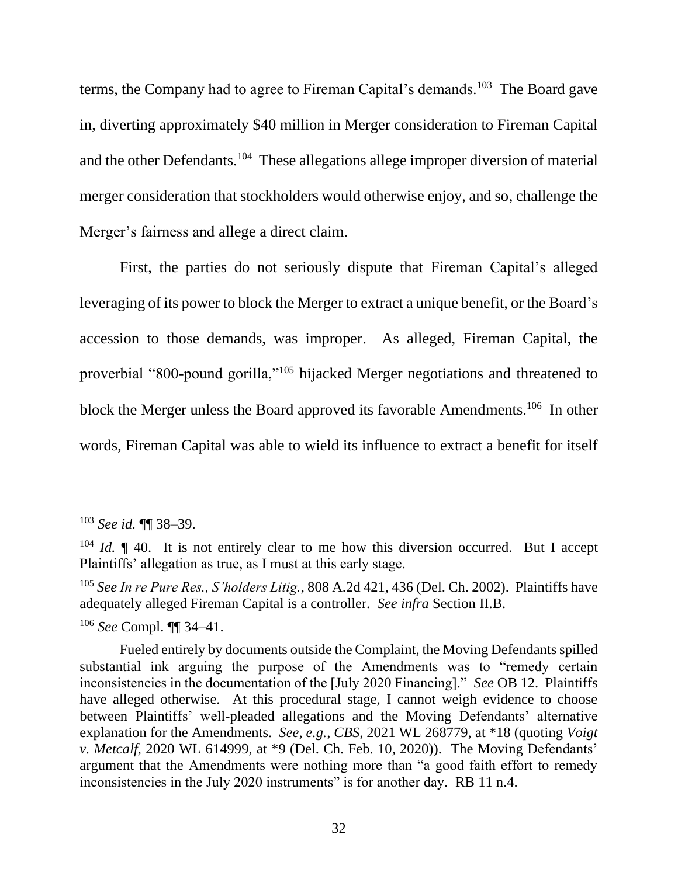terms, the Company had to agree to Fireman Capital's demands.<sup>103</sup> The Board gave in, diverting approximately \$40 million in Merger consideration to Fireman Capital and the other Defendants.<sup>104</sup> These allegations allege improper diversion of material merger consideration that stockholders would otherwise enjoy, and so, challenge the Merger's fairness and allege a direct claim.

First, the parties do not seriously dispute that Fireman Capital's alleged leveraging of its power to block the Merger to extract a unique benefit, or the Board's accession to those demands, was improper. As alleged, Fireman Capital, the proverbial "800-pound gorilla,"<sup>105</sup> hijacked Merger negotiations and threatened to block the Merger unless the Board approved its favorable Amendments.<sup>106</sup> In other words, Fireman Capital was able to wield its influence to extract a benefit for itself

<sup>106</sup> *See* Compl. ¶¶ 34–41.

<sup>103</sup> *See id.* ¶¶ 38–39.

 $104$  *Id.*  $\parallel$  40. It is not entirely clear to me how this diversion occurred. But I accept Plaintiffs' allegation as true, as I must at this early stage.

<sup>105</sup> *See In re Pure Res., S'holders Litig.*, 808 A.2d 421, 436 (Del. Ch. 2002). Plaintiffs have adequately alleged Fireman Capital is a controller. *See infra* Section II.B.

Fueled entirely by documents outside the Complaint, the Moving Defendants spilled substantial ink arguing the purpose of the Amendments was to "remedy certain inconsistencies in the documentation of the [July 2020 Financing]." *See* OB 12. Plaintiffs have alleged otherwise. At this procedural stage, I cannot weigh evidence to choose between Plaintiffs' well-pleaded allegations and the Moving Defendants' alternative explanation for the Amendments. *See, e.g.*, *CBS*, 2021 WL 268779, at \*18 (quoting *Voigt v. Metcalf*, 2020 WL 614999, at \*9 (Del. Ch. Feb. 10, 2020)). The Moving Defendants' argument that the Amendments were nothing more than "a good faith effort to remedy inconsistencies in the July 2020 instruments" is for another day. RB 11 n.4.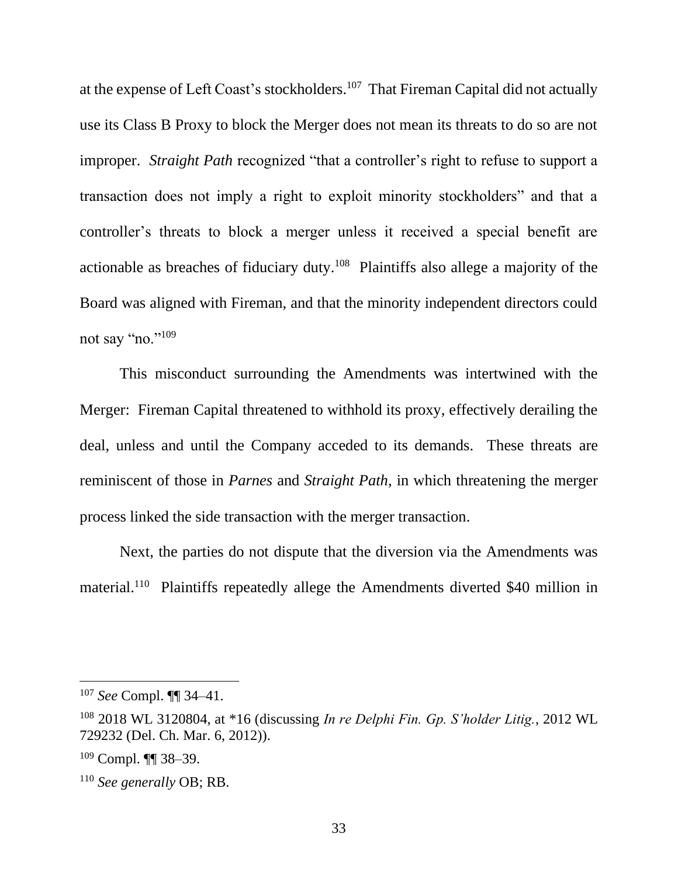at the expense of Left Coast's stockholders.<sup>107</sup> That Fireman Capital did not actually use its Class B Proxy to block the Merger does not mean its threats to do so are not improper. *Straight Path* recognized "that a controller's right to refuse to support a transaction does not imply a right to exploit minority stockholders" and that a controller's threats to block a merger unless it received a special benefit are actionable as breaches of fiduciary duty.<sup>108</sup> Plaintiffs also allege a majority of the Board was aligned with Fireman, and that the minority independent directors could not say "no."<sup>109</sup>

This misconduct surrounding the Amendments was intertwined with the Merger: Fireman Capital threatened to withhold its proxy, effectively derailing the deal, unless and until the Company acceded to its demands. These threats are reminiscent of those in *Parnes* and *Straight Path*, in which threatening the merger process linked the side transaction with the merger transaction.

Next, the parties do not dispute that the diversion via the Amendments was material.<sup>110</sup> Plaintiffs repeatedly allege the Amendments diverted \$40 million in

<sup>107</sup> *See* Compl. ¶¶ 34–41.

<sup>108</sup> 2018 WL 3120804, at \*16 (discussing *In re Delphi Fin. Gp. S'holder Litig.*, 2012 WL 729232 (Del. Ch. Mar. 6, 2012)).

 $109$  Compl.  $\P\P$  38–39.

<sup>110</sup> *See generally* OB; RB.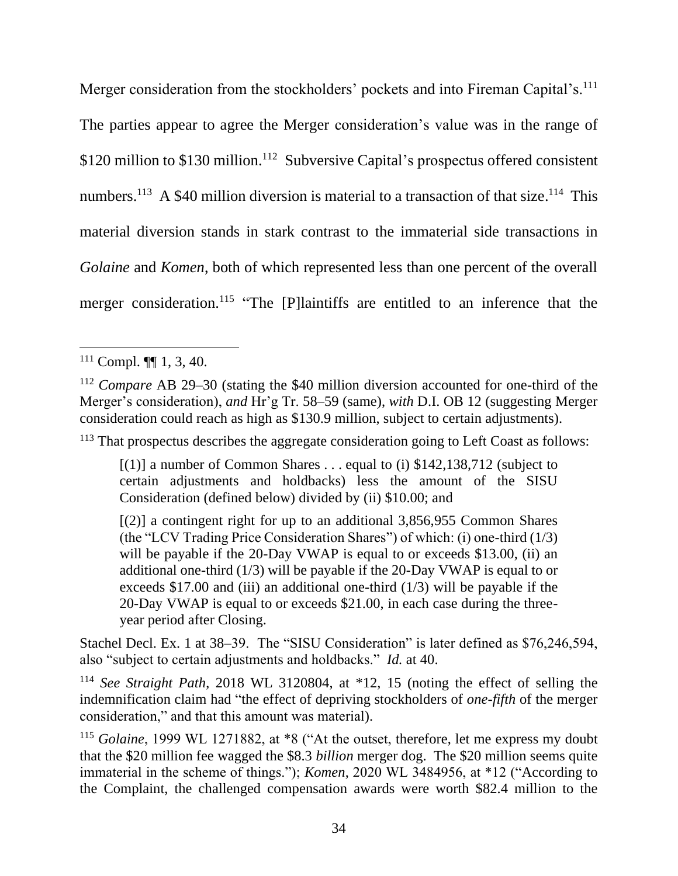Merger consideration from the stockholders' pockets and into Fireman Capital's.<sup>111</sup> The parties appear to agree the Merger consideration's value was in the range of \$120 million to \$130 million.<sup>112</sup> Subversive Capital's prospectus offered consistent numbers.<sup>113</sup> A \$40 million diversion is material to a transaction of that size.<sup>114</sup> This material diversion stands in stark contrast to the immaterial side transactions in *Golaine* and *Komen*, both of which represented less than one percent of the overall merger consideration.<sup>115</sup> "The [P]laintiffs are entitled to an inference that the

<sup>113</sup> That prospectus describes the aggregate consideration going to Left Coast as follows:

 $[(1)]$  a number of Common Shares . . . equal to (i) \$142,138,712 (subject to certain adjustments and holdbacks) less the amount of the SISU Consideration (defined below) divided by (ii) \$10.00; and

[(2)] a contingent right for up to an additional 3,856,955 Common Shares (the "LCV Trading Price Consideration Shares") of which: (i) one-third (1/3) will be payable if the 20-Day VWAP is equal to or exceeds \$13.00, (ii) an additional one-third (1/3) will be payable if the 20-Day VWAP is equal to or exceeds \$17.00 and (iii) an additional one-third (1/3) will be payable if the 20-Day VWAP is equal to or exceeds \$21.00, in each case during the threeyear period after Closing.

Stachel Decl. Ex. 1 at 38–39. The "SISU Consideration" is later defined as \$76,246,594, also "subject to certain adjustments and holdbacks." *Id.* at 40.

<sup>114</sup> *See Straight Path*, 2018 WL 3120804, at \*12, 15 (noting the effect of selling the indemnification claim had "the effect of depriving stockholders of *one-fifth* of the merger consideration," and that this amount was material).

<sup>115</sup> *Golaine*, 1999 WL 1271882, at \*8 ("At the outset, therefore, let me express my doubt that the \$20 million fee wagged the \$8.3 *billion* merger dog. The \$20 million seems quite immaterial in the scheme of things."); *Komen*, 2020 WL 3484956, at \*12 ("According to the Complaint, the challenged compensation awards were worth \$82.4 million to the

 $111$  Compl.  $\P\P$  1, 3, 40.

<sup>112</sup> *Compare* AB 29–30 (stating the \$40 million diversion accounted for one-third of the Merger's consideration), *and* Hr'g Tr. 58–59 (same), *with* D.I. OB 12 (suggesting Merger consideration could reach as high as \$130.9 million, subject to certain adjustments).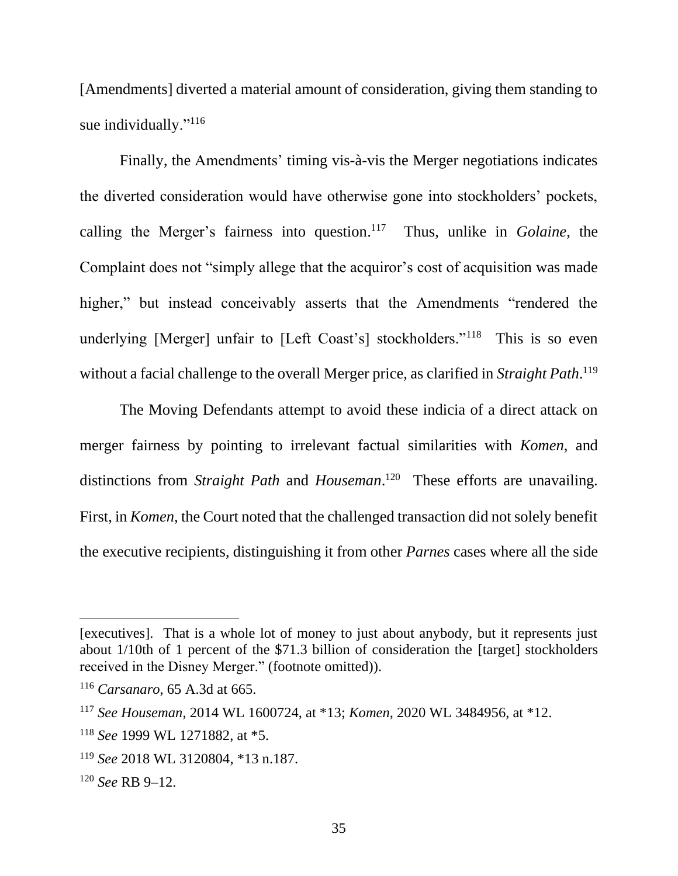[Amendments] diverted a material amount of consideration, giving them standing to sue individually."<sup>116</sup>

Finally, the Amendments' timing vis-à-vis the Merger negotiations indicates the diverted consideration would have otherwise gone into stockholders' pockets, calling the Merger's fairness into question. 117 Thus, unlike in *Golaine*, the Complaint does not "simply allege that the acquiror's cost of acquisition was made higher," but instead conceivably asserts that the Amendments "rendered the underlying [Merger] unfair to [Left Coast's] stockholders."<sup>118</sup> This is so even without a facial challenge to the overall Merger price, as clarified in *Straight Path*. 119

The Moving Defendants attempt to avoid these indicia of a direct attack on merger fairness by pointing to irrelevant factual similarities with *Komen*, and distinctions from *Straight Path* and *Houseman*.<sup>120</sup> These efforts are unavailing. First, in *Komen*, the Court noted that the challenged transaction did not solely benefit the executive recipients, distinguishing it from other *Parnes* cases where all the side

<sup>[</sup>executives]. That is a whole lot of money to just about anybody, but it represents just about 1/10th of 1 percent of the \$71.3 billion of consideration the [target] stockholders received in the Disney Merger." (footnote omitted)).

<sup>116</sup> *Carsanaro*, 65 A.3d at 665.

<sup>117</sup> *See Houseman*, 2014 WL 1600724, at \*13; *Komen*, 2020 WL 3484956, at \*12.

<sup>118</sup> *See* 1999 WL 1271882, at \*5.

<sup>119</sup> *See* 2018 WL 3120804, \*13 n.187.

<sup>120</sup> *See* RB 9–12.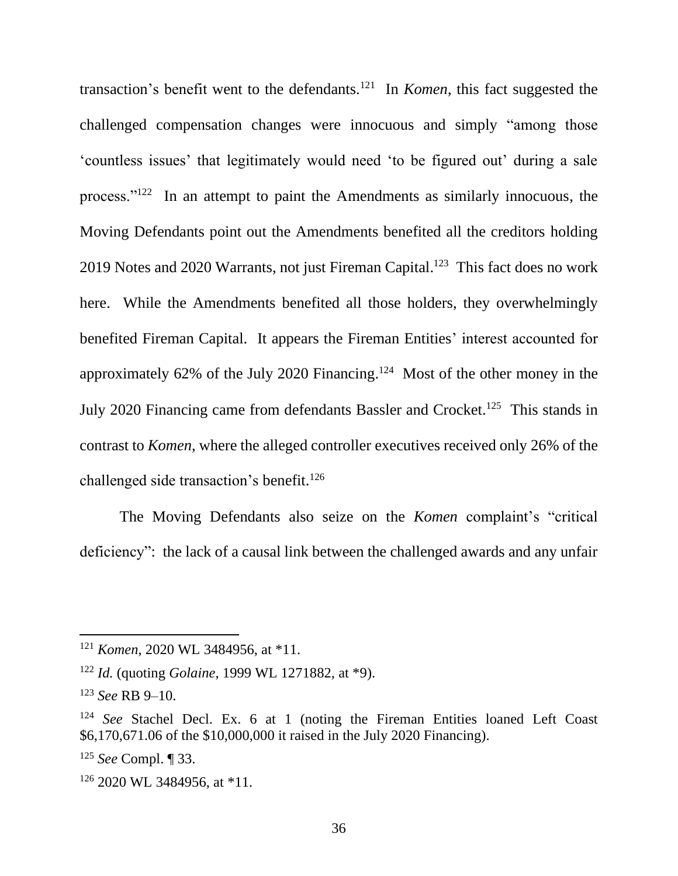transaction's benefit went to the defendants.<sup>121</sup> In *Komen*, this fact suggested the challenged compensation changes were innocuous and simply "among those 'countless issues' that legitimately would need 'to be figured out' during a sale process."<sup>122</sup> In an attempt to paint the Amendments as similarly innocuous, the Moving Defendants point out the Amendments benefited all the creditors holding 2019 Notes and 2020 Warrants, not just Fireman Capital.<sup>123</sup> This fact does no work here. While the Amendments benefited all those holders, they overwhelmingly benefited Fireman Capital. It appears the Fireman Entities' interest accounted for approximately 62% of the July 2020 Financing.<sup>124</sup> Most of the other money in the July 2020 Financing came from defendants Bassler and Crocket.<sup>125</sup> This stands in contrast to *Komen*, where the alleged controller executives received only 26% of the challenged side transaction's benefit.<sup>126</sup>

The Moving Defendants also seize on the *Komen* complaint's "critical deficiency": the lack of a causal link between the challenged awards and any unfair

<sup>121</sup> *Komen*, 2020 WL 3484956, at \*11.

<sup>122</sup> *Id.* (quoting *Golaine*, 1999 WL 1271882, at \*9).

<sup>123</sup> *See* RB 9–10.

<sup>124</sup> *See* Stachel Decl. Ex. 6 at 1 (noting the Fireman Entities loaned Left Coast \$6,170,671.06 of the \$10,000,000 it raised in the July 2020 Financing).

<sup>125</sup> *See* Compl. ¶ 33.

<sup>126</sup> 2020 WL 3484956, at \*11.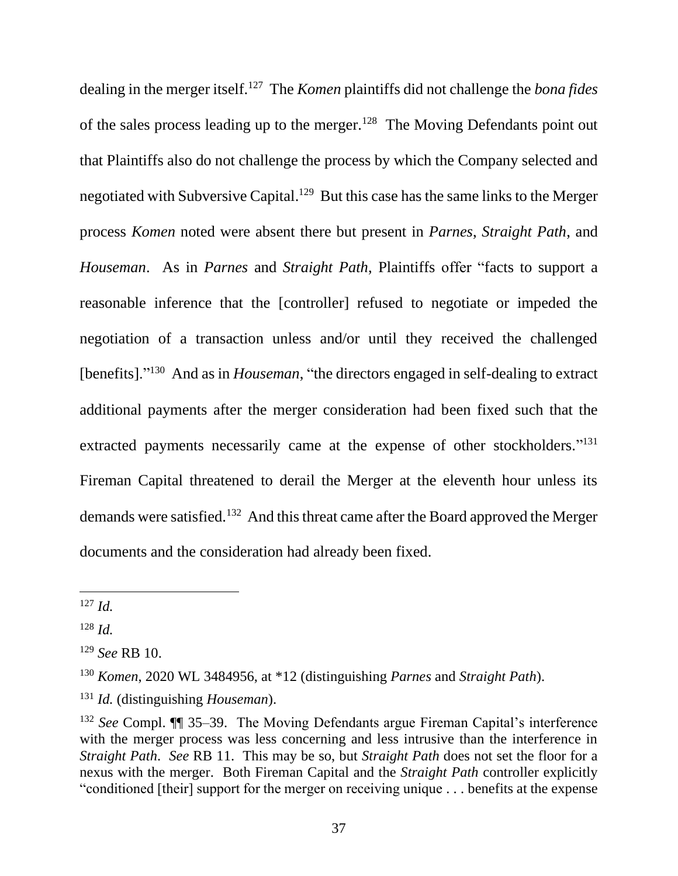dealing in the merger itself.<sup>127</sup> The *Komen* plaintiffs did not challenge the *bona fides*  of the sales process leading up to the merger.<sup>128</sup> The Moving Defendants point out that Plaintiffs also do not challenge the process by which the Company selected and negotiated with Subversive Capital.<sup>129</sup> But this case has the same links to the Merger process *Komen* noted were absent there but present in *Parnes*, *Straight Path*, and *Houseman*. As in *Parnes* and *Straight Path*, Plaintiffs offer "facts to support a reasonable inference that the [controller] refused to negotiate or impeded the negotiation of a transaction unless and/or until they received the challenged [benefits]."<sup>130</sup> And as in *Houseman*, "the directors engaged in self-dealing to extract additional payments after the merger consideration had been fixed such that the extracted payments necessarily came at the expense of other stockholders."<sup>131</sup> Fireman Capital threatened to derail the Merger at the eleventh hour unless its demands were satisfied.<sup>132</sup> And this threat came after the Board approved the Merger documents and the consideration had already been fixed.

<sup>127</sup> *Id.*

<sup>128</sup> *Id.*

<sup>129</sup> *See* RB 10.

<sup>130</sup> *Komen*, 2020 WL 3484956, at \*12 (distinguishing *Parnes* and *Straight Path*).

<sup>131</sup> *Id.* (distinguishing *Houseman*).

<sup>132</sup> *See* Compl. ¶¶ 35–39. The Moving Defendants argue Fireman Capital's interference with the merger process was less concerning and less intrusive than the interference in *Straight Path*. *See* RB 11. This may be so, but *Straight Path* does not set the floor for a nexus with the merger. Both Fireman Capital and the *Straight Path* controller explicitly "conditioned [their] support for the merger on receiving unique . . . benefits at the expense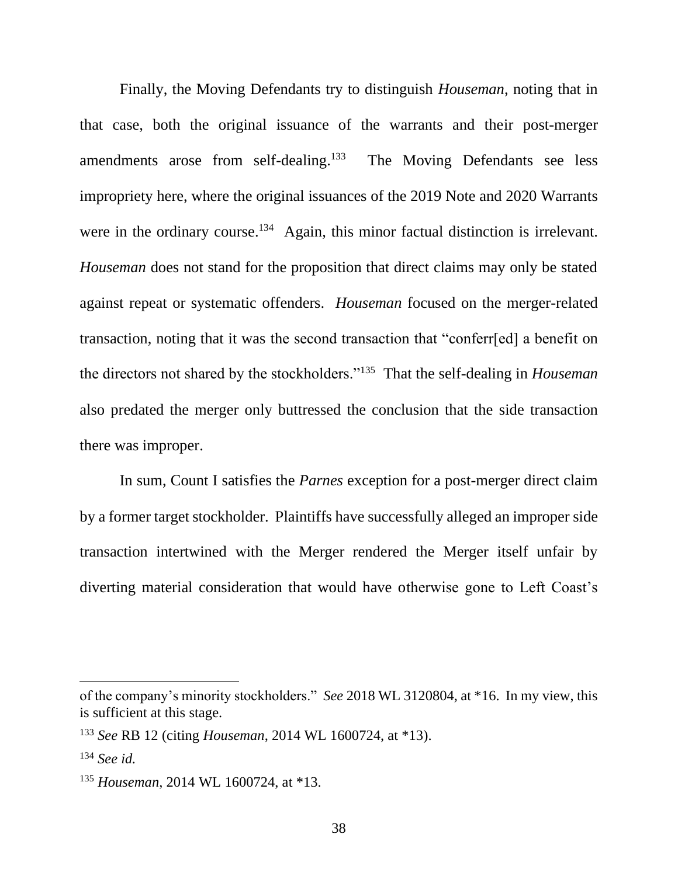Finally, the Moving Defendants try to distinguish *Houseman*, noting that in that case, both the original issuance of the warrants and their post-merger amendments arose from self-dealing.<sup>133</sup> The Moving Defendants see less impropriety here, where the original issuances of the 2019 Note and 2020 Warrants were in the ordinary course.<sup>134</sup> Again, this minor factual distinction is irrelevant. *Houseman* does not stand for the proposition that direct claims may only be stated against repeat or systematic offenders. *Houseman* focused on the merger-related transaction, noting that it was the second transaction that "conferr[ed] a benefit on the directors not shared by the stockholders."<sup>135</sup> That the self-dealing in *Houseman* also predated the merger only buttressed the conclusion that the side transaction there was improper.

In sum, Count I satisfies the *Parnes* exception for a post-merger direct claim by a former target stockholder. Plaintiffs have successfully alleged an improper side transaction intertwined with the Merger rendered the Merger itself unfair by diverting material consideration that would have otherwise gone to Left Coast's

of the company's minority stockholders." *See* 2018 WL 3120804, at \*16. In my view, this is sufficient at this stage.

<sup>133</sup> *See* RB 12 (citing *Houseman*, 2014 WL 1600724, at \*13).

<sup>134</sup> *See id.*

<sup>135</sup> *Houseman*, 2014 WL 1600724, at \*13.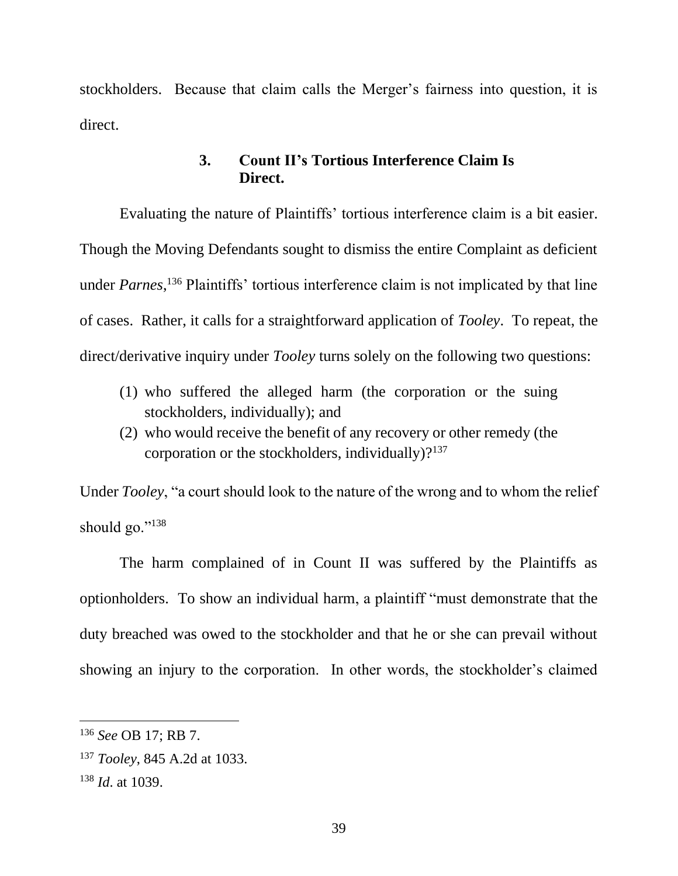stockholders. Because that claim calls the Merger's fairness into question, it is direct.

# **3. Count II's Tortious Interference Claim Is Direct.**

Evaluating the nature of Plaintiffs' tortious interference claim is a bit easier. Though the Moving Defendants sought to dismiss the entire Complaint as deficient under *Parnes*, <sup>136</sup> Plaintiffs' tortious interference claim is not implicated by that line of cases. Rather, it calls for a straightforward application of *Tooley*. To repeat, the direct/derivative inquiry under *Tooley* turns solely on the following two questions:

- (1) who suffered the alleged harm (the corporation or the suing stockholders, individually); and
- (2) who would receive the benefit of any recovery or other remedy (the corporation or the stockholders, individually)? $137$

Under *Tooley*, "a court should look to the nature of the wrong and to whom the relief should go."<sup>138</sup>

The harm complained of in Count II was suffered by the Plaintiffs as optionholders. To show an individual harm, a plaintiff "must demonstrate that the duty breached was owed to the stockholder and that he or she can prevail without showing an injury to the corporation. In other words, the stockholder's claimed

<sup>136</sup> *See* OB 17; RB 7.

<sup>137</sup> *Tooley*, 845 A.2d at 1033.

<sup>138</sup> *Id*. at 1039.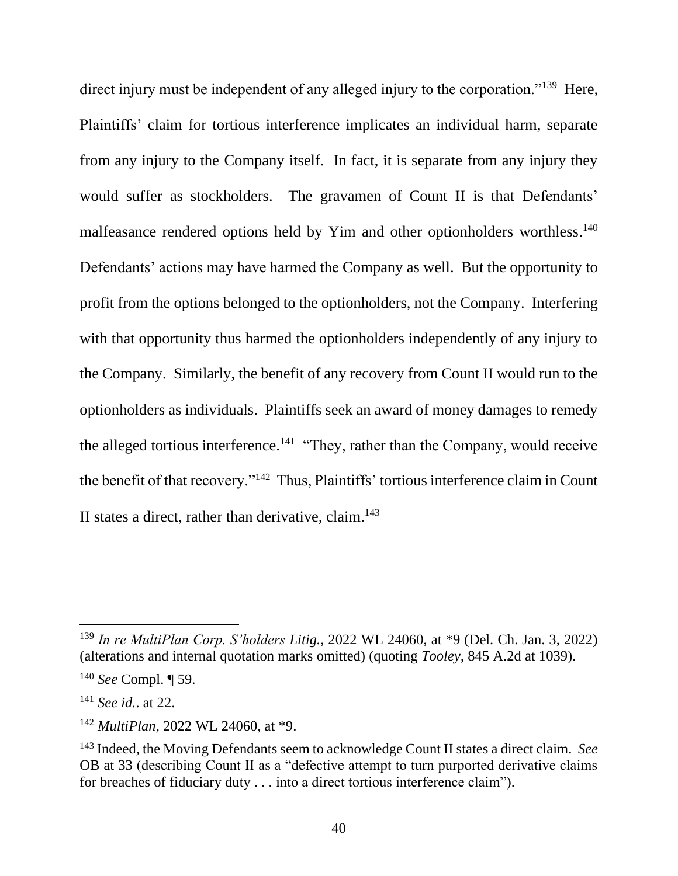direct injury must be independent of any alleged injury to the corporation."<sup>139</sup> Here, Plaintiffs' claim for tortious interference implicates an individual harm, separate from any injury to the Company itself. In fact, it is separate from any injury they would suffer as stockholders. The gravamen of Count II is that Defendants' malfeasance rendered options held by Yim and other optionholders worthless.<sup>140</sup> Defendants' actions may have harmed the Company as well. But the opportunity to profit from the options belonged to the optionholders, not the Company. Interfering with that opportunity thus harmed the optionholders independently of any injury to the Company. Similarly, the benefit of any recovery from Count II would run to the optionholders as individuals. Plaintiffs seek an award of money damages to remedy the alleged tortious interference.<sup>141</sup> "They, rather than the Company, would receive the benefit of that recovery."<sup>142</sup> Thus, Plaintiffs' tortious interference claim in Count II states a direct, rather than derivative, claim. $143$ 

<sup>139</sup> *In re MultiPlan Corp. S'holders Litig.*, 2022 WL 24060, at \*9 (Del. Ch. Jan. 3, 2022) (alterations and internal quotation marks omitted) (quoting *Tooley*, 845 A.2d at 1039).

<sup>140</sup> *See* Compl. ¶ 59.

<sup>141</sup> *See id.*. at 22.

<sup>142</sup> *MultiPlan*, 2022 WL 24060, at \*9.

<sup>143</sup> Indeed, the Moving Defendants seem to acknowledge Count II states a direct claim. *See* OB at 33 (describing Count II as a "defective attempt to turn purported derivative claims for breaches of fiduciary duty . . . into a direct tortious interference claim").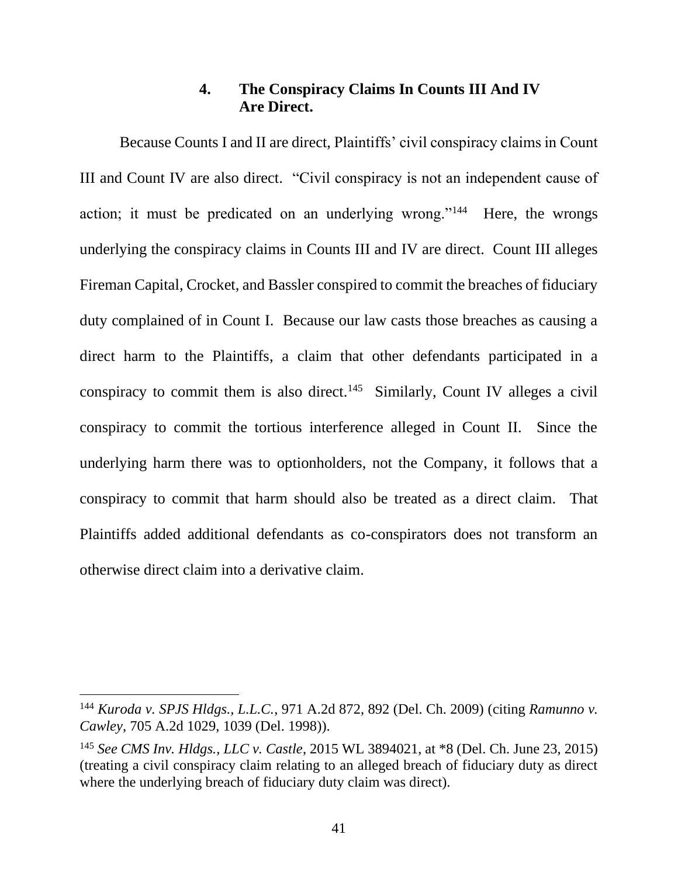# **4. The Conspiracy Claims In Counts III And IV Are Direct.**

Because Counts I and II are direct, Plaintiffs' civil conspiracy claims in Count III and Count IV are also direct. "Civil conspiracy is not an independent cause of action; it must be predicated on an underlying wrong."<sup>144</sup> Here, the wrongs underlying the conspiracy claims in Counts III and IV are direct. Count III alleges Fireman Capital, Crocket, and Bassler conspired to commit the breaches of fiduciary duty complained of in Count I. Because our law casts those breaches as causing a direct harm to the Plaintiffs, a claim that other defendants participated in a conspiracy to commit them is also direct.<sup>145</sup> Similarly, Count IV alleges a civil conspiracy to commit the tortious interference alleged in Count II. Since the underlying harm there was to optionholders, not the Company, it follows that a conspiracy to commit that harm should also be treated as a direct claim. That Plaintiffs added additional defendants as co-conspirators does not transform an otherwise direct claim into a derivative claim.

<sup>144</sup> *Kuroda v. SPJS Hldgs., L.L.C.*, 971 A.2d 872, 892 (Del. Ch. 2009) (citing *Ramunno v. Cawley*, 705 A.2d 1029, 1039 (Del. 1998)).

<sup>145</sup> *See CMS Inv. Hldgs., LLC v. Castle*, 2015 WL 3894021, at \*8 (Del. Ch. June 23, 2015) (treating a civil conspiracy claim relating to an alleged breach of fiduciary duty as direct where the underlying breach of fiduciary duty claim was direct).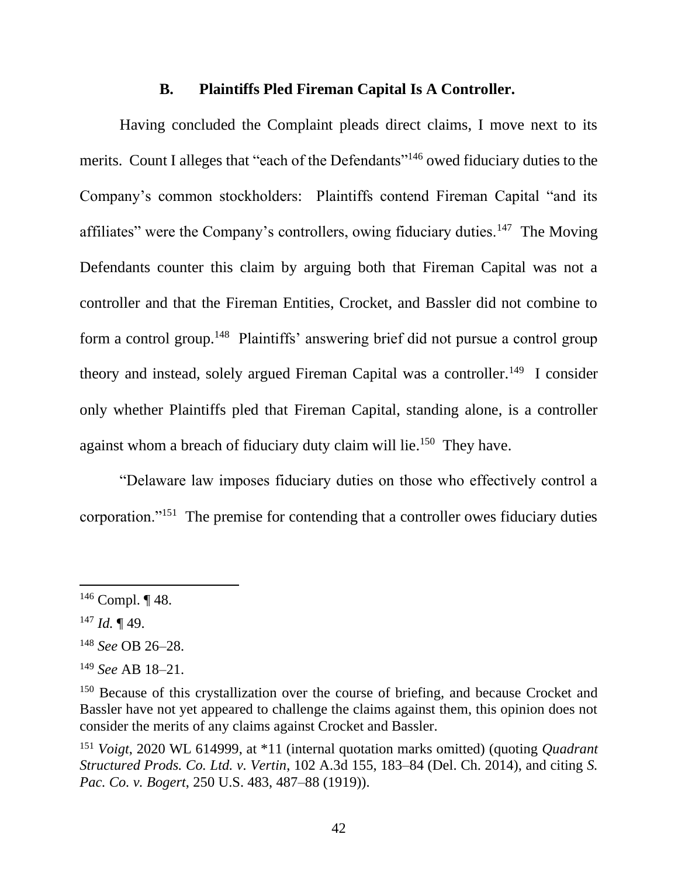### **B. Plaintiffs Pled Fireman Capital Is A Controller.**

Having concluded the Complaint pleads direct claims, I move next to its merits. Count I alleges that "each of the Defendants"<sup>146</sup> owed fiduciary duties to the Company's common stockholders: Plaintiffs contend Fireman Capital "and its affiliates" were the Company's controllers, owing fiduciary duties.<sup>147</sup> The Moving Defendants counter this claim by arguing both that Fireman Capital was not a controller and that the Fireman Entities, Crocket, and Bassler did not combine to form a control group.<sup>148</sup> Plaintiffs' answering brief did not pursue a control group theory and instead, solely argued Fireman Capital was a controller.<sup>149</sup> I consider only whether Plaintiffs pled that Fireman Capital, standing alone, is a controller against whom a breach of fiduciary duty claim will lie.<sup>150</sup> They have.

"Delaware law imposes fiduciary duties on those who effectively control a corporation."<sup>151</sup> The premise for contending that a controller owes fiduciary duties

 $146$  Compl.  $\P$  48.

 $147$  *Id.* 149.

<sup>148</sup> *See* OB 26–28.

<sup>149</sup> *See* AB 18–21.

<sup>&</sup>lt;sup>150</sup> Because of this crystallization over the course of briefing, and because Crocket and Bassler have not yet appeared to challenge the claims against them, this opinion does not consider the merits of any claims against Crocket and Bassler.

<sup>151</sup> *Voigt*, 2020 WL 614999, at \*11 (internal quotation marks omitted) (quoting *Quadrant Structured Prods. Co. Ltd. v. Vertin*, 102 A.3d 155, 183–84 (Del. Ch. 2014), and citing *S. Pac. Co. v. Bogert*, 250 U.S. 483, 487–88 (1919)).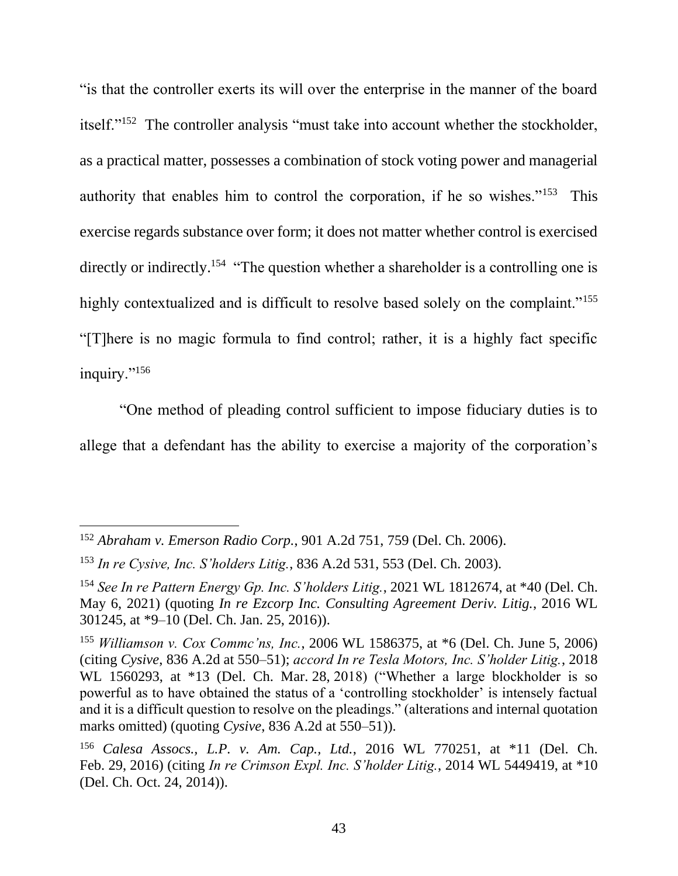"is that the controller exerts its will over the enterprise in the manner of the board itself."<sup>152</sup> The controller analysis "must take into account whether the stockholder, as a practical matter, possesses a combination of stock voting power and managerial authority that enables him to control the corporation, if he so wishes."<sup>153</sup> This exercise regards substance over form; it does not matter whether control is exercised directly or indirectly.<sup>154</sup> "The question whether a shareholder is a controlling one is highly contextualized and is difficult to resolve based solely on the complaint."<sup>155</sup> "[T]here is no magic formula to find control; rather, it is a highly fact specific inquiry."<sup>156</sup>

"One method of pleading control sufficient to impose fiduciary duties is to allege that a defendant has the ability to exercise a majority of the corporation's

<sup>152</sup> *Abraham v. Emerson Radio Corp.*, 901 A.2d 751, 759 (Del. Ch. 2006).

<sup>153</sup> *In re Cysive, Inc. S'holders Litig.*, 836 A.2d 531, 553 (Del. Ch. 2003).

<sup>154</sup> *See In re Pattern Energy Gp. Inc. S'holders Litig.*, 2021 WL 1812674, at \*40 (Del. Ch. May 6, 2021) (quoting *In re Ezcorp Inc. Consulting Agreement Deriv. Litig.*, 2016 WL 301245, at \*9–10 (Del. Ch. Jan. 25, 2016)).

<sup>155</sup> *Williamson v. Cox Commc'ns, Inc.*, 2006 WL 1586375, at \*6 (Del. Ch. June 5, 2006) (citing *Cysive*, 836 A.2d at 550–51); *accord In re Tesla Motors, Inc. S'holder Litig.*, 2018 WL 1560293, at \*13 (Del. Ch. Mar. 28, 2018) ("Whether a large blockholder is so powerful as to have obtained the status of a 'controlling stockholder' is intensely factual and it is a difficult question to resolve on the pleadings." (alterations and internal quotation marks omitted) (quoting *Cysive*, 836 A.2d at 550–51)).

<sup>156</sup> *Calesa Assocs., L.P. v. Am. Cap., Ltd.*, 2016 WL 770251, at \*11 (Del. Ch. Feb. 29, 2016) (citing *In re Crimson Expl. Inc. S'holder Litig.*, 2014 WL 5449419, at \*10 (Del. Ch. Oct. 24, 2014)).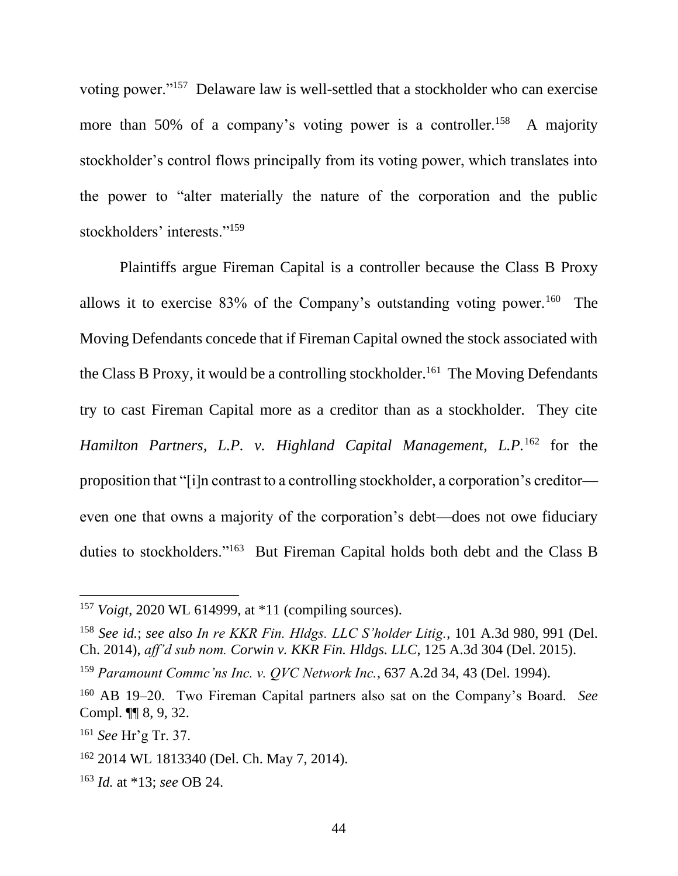voting power."<sup>157</sup> Delaware law is well-settled that a stockholder who can exercise more than 50% of a company's voting power is a controller.<sup>158</sup> A majority stockholder's control flows principally from its voting power, which translates into the power to "alter materially the nature of the corporation and the public stockholders' interests."<sup>159</sup>

Plaintiffs argue Fireman Capital is a controller because the Class B Proxy allows it to exercise  $83\%$  of the Company's outstanding voting power.<sup>160</sup> The Moving Defendants concede that if Fireman Capital owned the stock associated with the Class B Proxy, it would be a controlling stockholder.<sup>161</sup> The Moving Defendants try to cast Fireman Capital more as a creditor than as a stockholder. They cite *Hamilton Partners, L.P. v. Highland Capital Management, L.P.*<sup>162</sup> for the proposition that "[i]n contrast to a controlling stockholder, a corporation's creditor even one that owns a majority of the corporation's debt—does not owe fiduciary duties to stockholders."<sup>163</sup> But Fireman Capital holds both debt and the Class B

<sup>157</sup> *Voigt*, 2020 WL 614999, at \*11 (compiling sources).

<sup>158</sup> *See id.*; *see also In re KKR Fin. Hldgs. LLC S'holder Litig.*, 101 A.3d 980, 991 (Del. Ch. 2014), *aff'd sub nom. Corwin v. KKR Fin. Hldgs. LLC*, 125 A.3d 304 (Del. 2015).

<sup>159</sup> *Paramount Commc'ns Inc. v. QVC Network Inc.*, 637 A.2d 34, 43 (Del. 1994).

<sup>160</sup> AB 19–20. Two Fireman Capital partners also sat on the Company's Board. *See*  Compl. ¶¶ 8, 9, 32.

<sup>161</sup> *See* Hr'g Tr. 37.

<sup>162</sup> 2014 WL 1813340 (Del. Ch. May 7, 2014).

<sup>163</sup> *Id.* at \*13; *see* OB 24.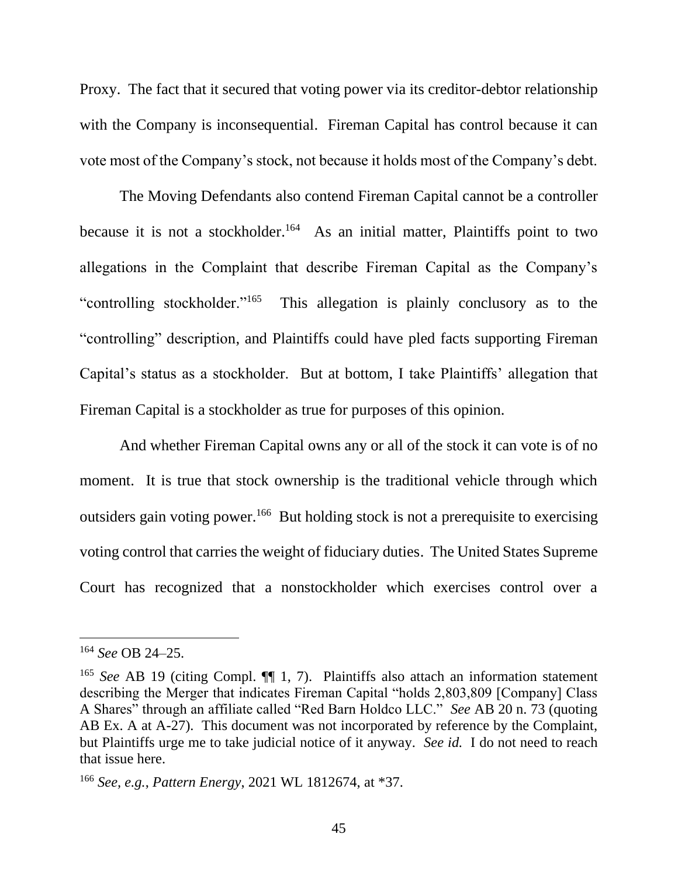Proxy. The fact that it secured that voting power via its creditor-debtor relationship with the Company is inconsequential. Fireman Capital has control because it can vote most of the Company's stock, not because it holds most of the Company's debt.

The Moving Defendants also contend Fireman Capital cannot be a controller because it is not a stockholder.<sup>164</sup> As an initial matter, Plaintiffs point to two allegations in the Complaint that describe Fireman Capital as the Company's "controlling stockholder."<sup>165</sup> This allegation is plainly conclusory as to the "controlling" description, and Plaintiffs could have pled facts supporting Fireman Capital's status as a stockholder. But at bottom, I take Plaintiffs' allegation that Fireman Capital is a stockholder as true for purposes of this opinion.

And whether Fireman Capital owns any or all of the stock it can vote is of no moment. It is true that stock ownership is the traditional vehicle through which outsiders gain voting power.<sup>166</sup> But holding stock is not a prerequisite to exercising voting control that carries the weight of fiduciary duties. The United States Supreme Court has recognized that a nonstockholder which exercises control over a

<sup>164</sup> *See* OB 24–25.

<sup>&</sup>lt;sup>165</sup> *See* AB 19 (citing Compl.  $\P\P$  1, 7). Plaintiffs also attach an information statement describing the Merger that indicates Fireman Capital "holds 2,803,809 [Company] Class A Shares" through an affiliate called "Red Barn Holdco LLC." *See* AB 20 n. 73 (quoting AB Ex. A at A-27). This document was not incorporated by reference by the Complaint, but Plaintiffs urge me to take judicial notice of it anyway. *See id.* I do not need to reach that issue here.

<sup>166</sup> *See, e.g.*, *Pattern Energy*, 2021 WL 1812674, at \*37.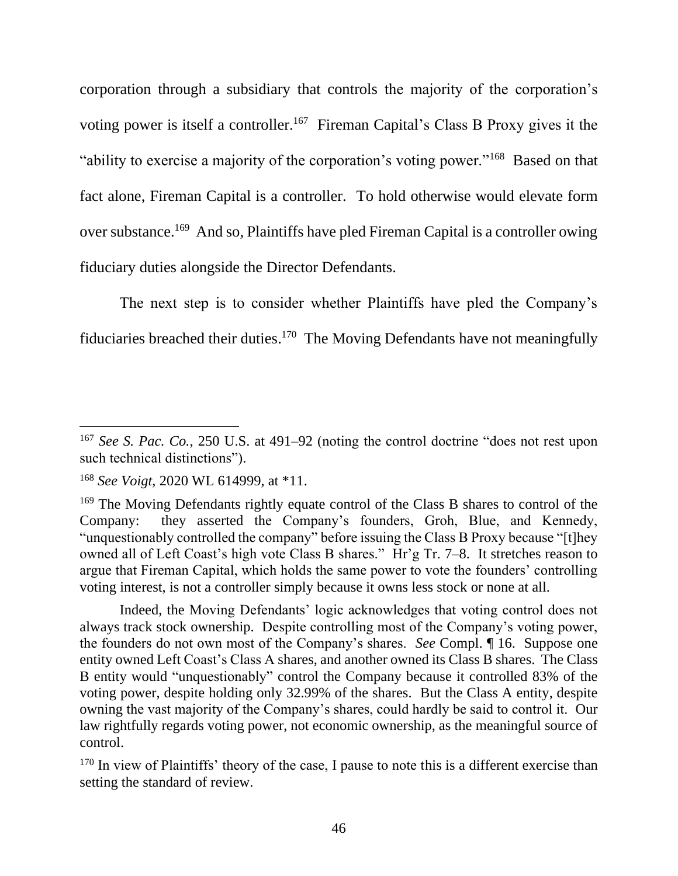corporation through a subsidiary that controls the majority of the corporation's voting power is itself a controller.<sup>167</sup> Fireman Capital's Class B Proxy gives it the "ability to exercise a majority of the corporation's voting power."<sup>168</sup> Based on that fact alone, Fireman Capital is a controller. To hold otherwise would elevate form over substance.<sup>169</sup> And so, Plaintiffs have pled Fireman Capital is a controller owing fiduciary duties alongside the Director Defendants.

The next step is to consider whether Plaintiffs have pled the Company's fiduciaries breached their duties.<sup>170</sup> The Moving Defendants have not meaningfully

Indeed, the Moving Defendants' logic acknowledges that voting control does not always track stock ownership. Despite controlling most of the Company's voting power, the founders do not own most of the Company's shares. *See* Compl. ¶ 16. Suppose one entity owned Left Coast's Class A shares, and another owned its Class B shares. The Class B entity would "unquestionably" control the Company because it controlled 83% of the voting power, despite holding only 32.99% of the shares. But the Class A entity, despite owning the vast majority of the Company's shares, could hardly be said to control it. Our law rightfully regards voting power, not economic ownership, as the meaningful source of control.

<sup>167</sup> *See S. Pac. Co.*, 250 U.S. at 491–92 (noting the control doctrine "does not rest upon such technical distinctions").

<sup>168</sup> *See Voigt*, 2020 WL 614999, at \*11.

<sup>&</sup>lt;sup>169</sup> The Moving Defendants rightly equate control of the Class B shares to control of the Company: they asserted the Company's founders, Groh, Blue, and Kennedy, "unquestionably controlled the company" before issuing the Class B Proxy because "[t]hey owned all of Left Coast's high vote Class B shares." Hr'g Tr. 7–8. It stretches reason to argue that Fireman Capital, which holds the same power to vote the founders' controlling voting interest, is not a controller simply because it owns less stock or none at all.

<sup>&</sup>lt;sup>170</sup> In view of Plaintiffs' theory of the case, I pause to note this is a different exercise than setting the standard of review.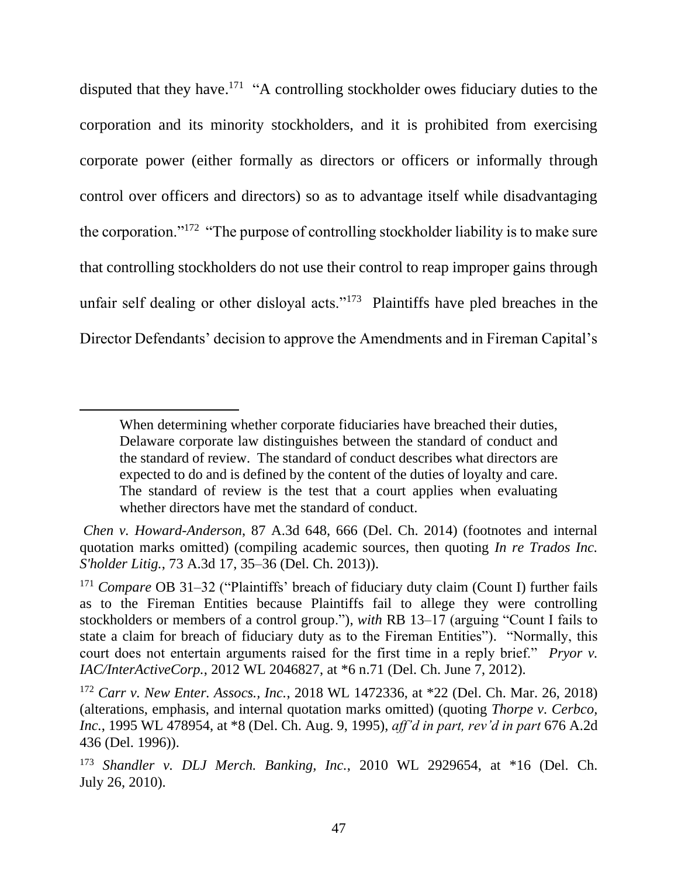disputed that they have.<sup>171</sup> "A controlling stockholder owes fiduciary duties to the corporation and its minority stockholders, and it is prohibited from exercising corporate power (either formally as directors or officers or informally through control over officers and directors) so as to advantage itself while disadvantaging the corporation."<sup>172</sup> "The purpose of controlling stockholder liability is to make sure that controlling stockholders do not use their control to reap improper gains through unfair self dealing or other disloyal acts."<sup>173</sup> Plaintiffs have pled breaches in the Director Defendants' decision to approve the Amendments and in Fireman Capital's

When determining whether corporate fiduciaries have breached their duties, Delaware corporate law distinguishes between the standard of conduct and the standard of review. The standard of conduct describes what directors are expected to do and is defined by the content of the duties of loyalty and care. The standard of review is the test that a court applies when evaluating whether directors have met the standard of conduct.

*Chen v. Howard-Anderson*, 87 A.3d 648, 666 (Del. Ch. 2014) (footnotes and internal quotation marks omitted) (compiling academic sources, then quoting *In re Trados Inc. S'holder Litig.*, 73 A.3d 17, 35–36 (Del. Ch. 2013)).

<sup>171</sup> *Compare* OB 31–32 ("Plaintiffs' breach of fiduciary duty claim (Count I) further fails as to the Fireman Entities because Plaintiffs fail to allege they were controlling stockholders or members of a control group."), *with* RB 13–17 (arguing "Count I fails to state a claim for breach of fiduciary duty as to the Fireman Entities"). "Normally, this court does not entertain arguments raised for the first time in a reply brief." *Pryor v. IAC/InterActiveCorp.*, 2012 WL 2046827, at \*6 n.71 (Del. Ch. June 7, 2012).

<sup>172</sup> *Carr v. New Enter. Assocs., Inc.*, 2018 WL 1472336, at \*22 (Del. Ch. Mar. 26, 2018) (alterations, emphasis, and internal quotation marks omitted) (quoting *Thorpe v. Cerbco, Inc.*, 1995 WL 478954, at \*8 (Del. Ch. Aug. 9, 1995), *aff'd in part, rev'd in part* 676 A.2d 436 (Del. 1996)).

<sup>173</sup> *Shandler v. DLJ Merch. Banking, Inc.*, 2010 WL 2929654, at \*16 (Del. Ch. July 26, 2010).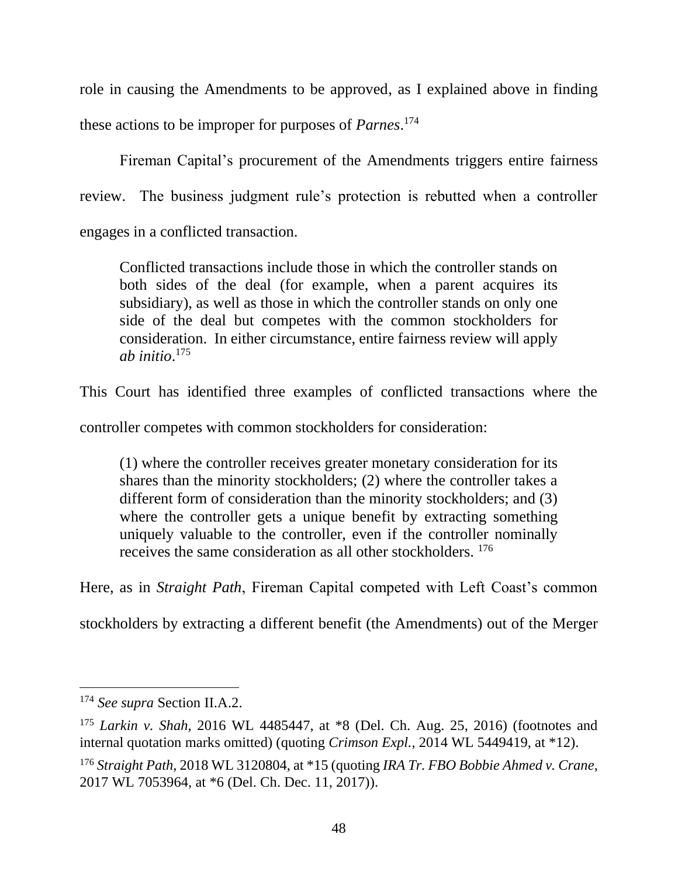role in causing the Amendments to be approved, as I explained above in finding these actions to be improper for purposes of *Parnes*. 174

Fireman Capital's procurement of the Amendments triggers entire fairness review. The business judgment rule's protection is rebutted when a controller engages in a conflicted transaction.

Conflicted transactions include those in which the controller stands on both sides of the deal (for example, when a parent acquires its subsidiary), as well as those in which the controller stands on only one side of the deal but competes with the common stockholders for consideration. In either circumstance, entire fairness review will apply *ab initio*. 175

This Court has identified three examples of conflicted transactions where the

controller competes with common stockholders for consideration:

(1) where the controller receives greater monetary consideration for its shares than the minority stockholders; (2) where the controller takes a different form of consideration than the minority stockholders; and (3) where the controller gets a unique benefit by extracting something uniquely valuable to the controller, even if the controller nominally receives the same consideration as all other stockholders. <sup>176</sup>

Here, as in *Straight Path*, Fireman Capital competed with Left Coast's common

stockholders by extracting a different benefit (the Amendments) out of the Merger

<sup>174</sup> *See supra* Section II.A.2.

<sup>175</sup> *Larkin v. Shah*, 2016 WL 4485447, at \*8 (Del. Ch. Aug. 25, 2016) (footnotes and internal quotation marks omitted) (quoting *Crimson Expl.*, 2014 WL 5449419, at \*12).

<sup>176</sup> *Straight Path*, 2018 WL 3120804, at \*15 (quoting *IRA Tr. FBO Bobbie Ahmed v. Crane*, 2017 WL 7053964, at \*6 (Del. Ch. Dec. 11, 2017)).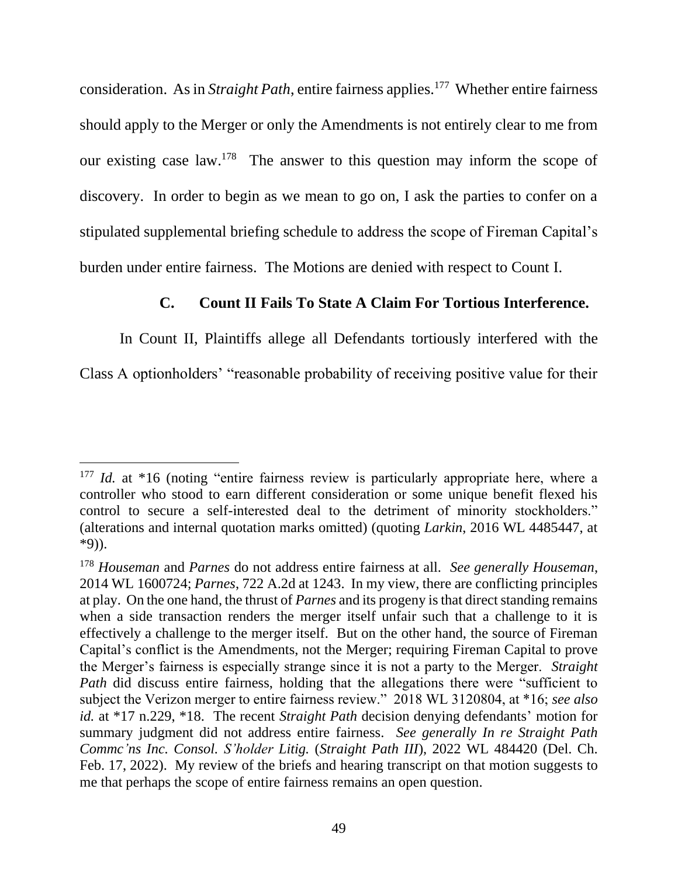consideration. As in *Straight Path*, entire fairness applies.<sup>177</sup> Whether entire fairness should apply to the Merger or only the Amendments is not entirely clear to me from our existing case  $law$ <sup>178</sup>. The answer to this question may inform the scope of discovery. In order to begin as we mean to go on, I ask the parties to confer on a stipulated supplemental briefing schedule to address the scope of Fireman Capital's burden under entire fairness. The Motions are denied with respect to Count I.

## **C. Count II Fails To State A Claim For Tortious Interference.**

In Count II, Plaintiffs allege all Defendants tortiously interfered with the

Class A optionholders' "reasonable probability of receiving positive value for their

<sup>&</sup>lt;sup>177</sup> *Id.* at \*16 (noting "entire fairness review is particularly appropriate here, where a controller who stood to earn different consideration or some unique benefit flexed his control to secure a self-interested deal to the detriment of minority stockholders." (alterations and internal quotation marks omitted) (quoting *Larkin*, 2016 WL 4485447, at \*9)).

<sup>178</sup> *Houseman* and *Parnes* do not address entire fairness at all. *See generally Houseman*, 2014 WL 1600724; *Parnes*, 722 A.2d at 1243. In my view, there are conflicting principles at play. On the one hand, the thrust of *Parnes* and its progeny is that direct standing remains when a side transaction renders the merger itself unfair such that a challenge to it is effectively a challenge to the merger itself. But on the other hand, the source of Fireman Capital's conflict is the Amendments, not the Merger; requiring Fireman Capital to prove the Merger's fairness is especially strange since it is not a party to the Merger. *Straight Path* did discuss entire fairness, holding that the allegations there were "sufficient to subject the Verizon merger to entire fairness review." 2018 WL 3120804, at \*16; *see also id.* at \*17 n.229, \*18. The recent *Straight Path* decision denying defendants' motion for summary judgment did not address entire fairness. *See generally In re Straight Path Commc'ns Inc. Consol. S'holder Litig.* (*Straight Path III*), 2022 WL 484420 (Del. Ch. Feb. 17, 2022). My review of the briefs and hearing transcript on that motion suggests to me that perhaps the scope of entire fairness remains an open question.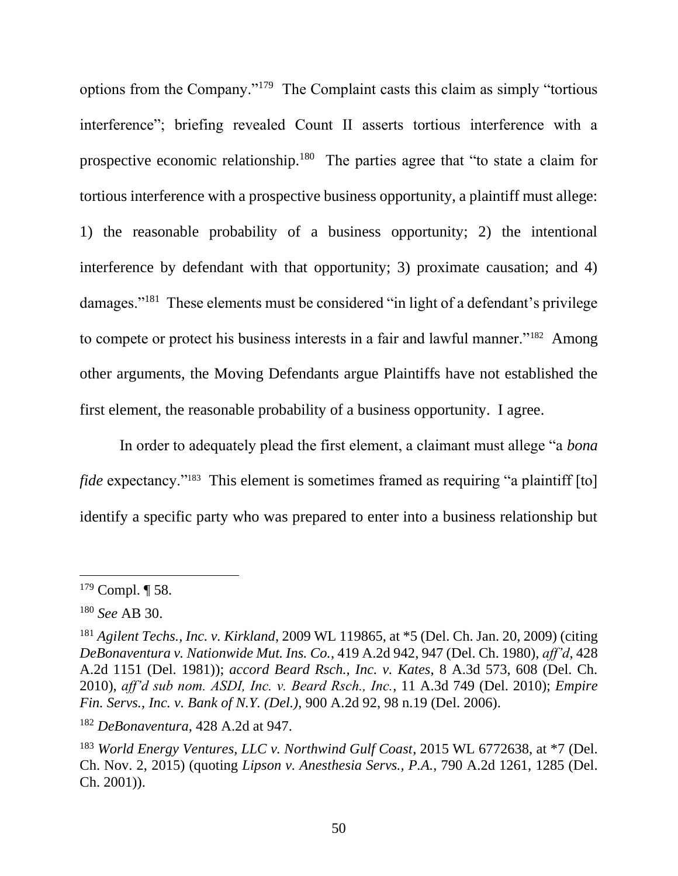options from the Company."<sup>179</sup> The Complaint casts this claim as simply "tortious interference"; briefing revealed Count II asserts tortious interference with a prospective economic relationship.<sup>180</sup> The parties agree that "to state a claim for tortious interference with a prospective business opportunity, a plaintiff must allege: 1) the reasonable probability of a business opportunity; 2) the intentional interference by defendant with that opportunity; 3) proximate causation; and 4) damages."<sup>181</sup> These elements must be considered "in light of a defendant's privilege to compete or protect his business interests in a fair and lawful manner."<sup>182</sup> Among other arguments, the Moving Defendants argue Plaintiffs have not established the first element, the reasonable probability of a business opportunity. I agree.

In order to adequately plead the first element, a claimant must allege "a *bona*  fide expectancy."<sup>183</sup> This element is sometimes framed as requiring "a plaintiff [to] identify a specific party who was prepared to enter into a business relationship but

 $179$  Compl.  $\P$  58.

<sup>180</sup> *See* AB 30.

<sup>181</sup> *Agilent Techs., Inc. v. Kirkland*, 2009 WL 119865, at \*5 (Del. Ch. Jan. 20, 2009) (citing *DeBonaventura v. Nationwide Mut. Ins. Co.*, 419 A.2d 942, 947 (Del. Ch. 1980), *aff'd*, 428 A.2d 1151 (Del. 1981)); *accord Beard Rsch., Inc. v. Kates*, 8 A.3d 573, 608 (Del. Ch. 2010), *aff'd sub nom. ASDI, Inc. v. Beard Rsch., Inc.*, 11 A.3d 749 (Del. 2010); *Empire Fin. Servs., Inc. v. Bank of N.Y. (Del.)*, 900 A.2d 92, 98 n.19 (Del. 2006).

<sup>182</sup> *DeBonaventura*, 428 A.2d at 947.

<sup>183</sup> *World Energy Ventures, LLC v. Northwind Gulf Coast*, 2015 WL 6772638, at \*7 (Del. Ch. Nov. 2, 2015) (quoting *Lipson v. Anesthesia Servs., P.A.*, 790 A.2d 1261, 1285 (Del. Ch. 2001)).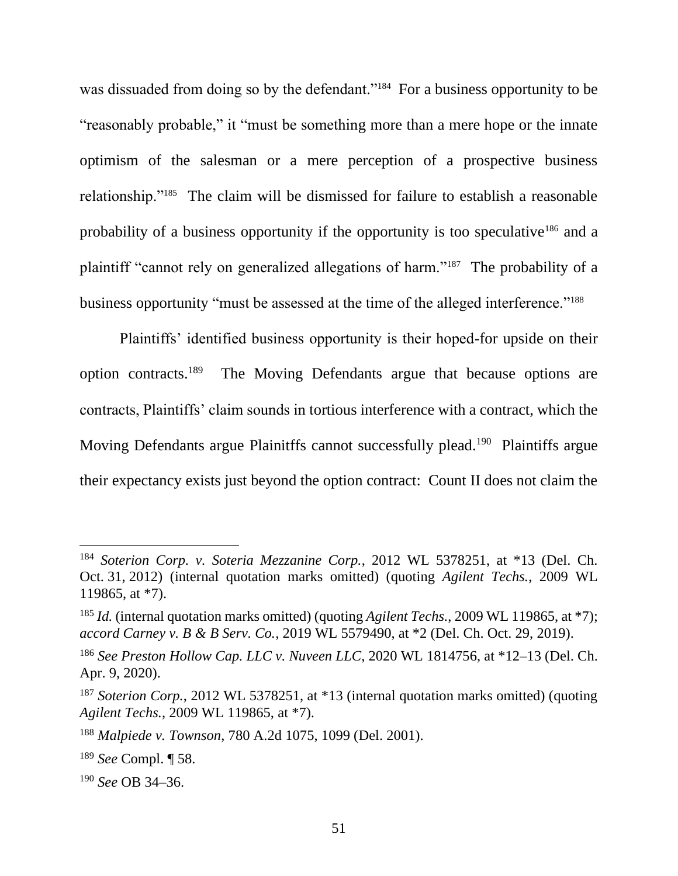was dissuaded from doing so by the defendant."<sup>184</sup> For a business opportunity to be "reasonably probable," it "must be something more than a mere hope or the innate optimism of the salesman or a mere perception of a prospective business relationship."<sup>185</sup> The claim will be dismissed for failure to establish a reasonable probability of a business opportunity if the opportunity is too speculative<sup>186</sup> and a plaintiff "cannot rely on generalized allegations of harm."<sup>187</sup> The probability of a business opportunity "must be assessed at the time of the alleged interference."<sup>188</sup>

Plaintiffs' identified business opportunity is their hoped-for upside on their option contracts.<sup>189</sup> The Moving Defendants argue that because options are contracts, Plaintiffs' claim sounds in tortious interference with a contract, which the Moving Defendants argue Plainitffs cannot successfully plead.<sup>190</sup> Plaintiffs argue their expectancy exists just beyond the option contract: Count II does not claim the

<sup>184</sup> *Soterion Corp. v. Soteria Mezzanine Corp.*, 2012 WL 5378251, at \*13 (Del. Ch. Oct. 31, 2012) (internal quotation marks omitted) (quoting *Agilent Techs.*, 2009 WL 119865, at \*7).

<sup>185</sup> *Id.* (internal quotation marks omitted) (quoting *Agilent Techs.*, 2009 WL 119865, at \*7); *accord Carney v. B & B Serv. Co.*, 2019 WL 5579490, at \*2 (Del. Ch. Oct. 29, 2019).

<sup>186</sup> *See Preston Hollow Cap. LLC v. Nuveen LLC*, 2020 WL 1814756, at \*12–13 (Del. Ch. Apr. 9, 2020).

<sup>&</sup>lt;sup>187</sup> *Soterion Corp.*, 2012 WL 5378251, at \*13 (internal quotation marks omitted) (quoting *Agilent Techs.*, 2009 WL 119865, at \*7).

<sup>188</sup> *Malpiede v. Townson*, 780 A.2d 1075, 1099 (Del. 2001).

<sup>189</sup> *See* Compl. ¶ 58.

<sup>190</sup> *See* OB 34–36.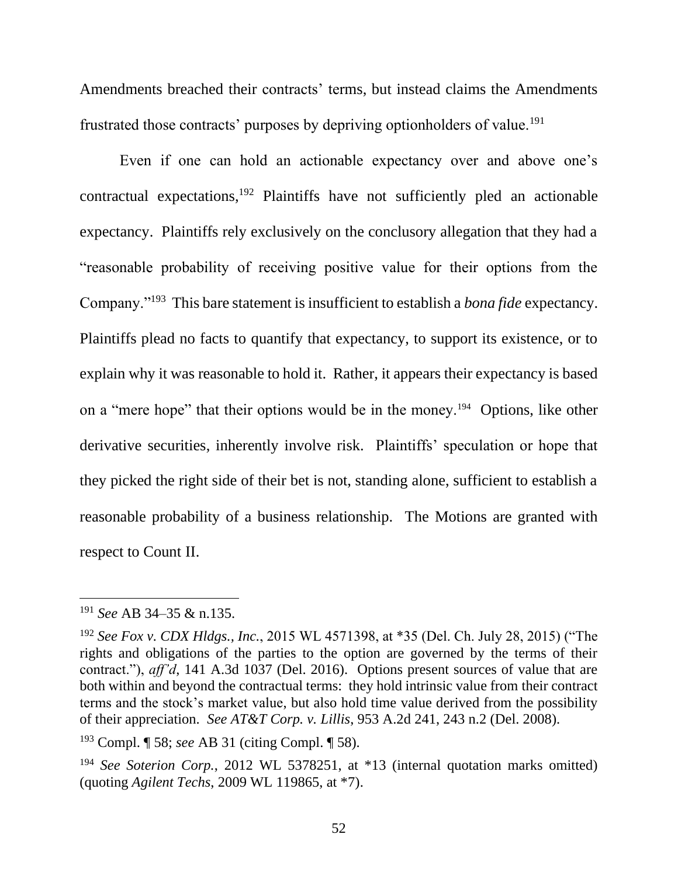Amendments breached their contracts' terms, but instead claims the Amendments frustrated those contracts' purposes by depriving optionholders of value.<sup>191</sup>

Even if one can hold an actionable expectancy over and above one's contractual expectations, $192$  Plaintiffs have not sufficiently pled an actionable expectancy. Plaintiffs rely exclusively on the conclusory allegation that they had a "reasonable probability of receiving positive value for their options from the Company."<sup>193</sup> This bare statement is insufficient to establish a *bona fide* expectancy. Plaintiffs plead no facts to quantify that expectancy, to support its existence, or to explain why it was reasonable to hold it. Rather, it appears their expectancy is based on a "mere hope" that their options would be in the money.<sup>194</sup> Options, like other derivative securities, inherently involve risk. Plaintiffs' speculation or hope that they picked the right side of their bet is not, standing alone, sufficient to establish a reasonable probability of a business relationship. The Motions are granted with respect to Count II.

<sup>191</sup> *See* AB 34–35 & n.135.

<sup>192</sup> *See Fox v. CDX Hldgs., Inc.*, 2015 WL 4571398, at \*35 (Del. Ch. July 28, 2015) ("The rights and obligations of the parties to the option are governed by the terms of their contract."), *aff'd*, 141 A.3d 1037 (Del. 2016). Options present sources of value that are both within and beyond the contractual terms: they hold intrinsic value from their contract terms and the stock's market value, but also hold time value derived from the possibility of their appreciation. *See AT&T Corp. v. Lillis*, 953 A.2d 241, 243 n.2 (Del. 2008).

<sup>193</sup> Compl. ¶ 58; *see* AB 31 (citing Compl. ¶ 58).

<sup>&</sup>lt;sup>194</sup> *See Soterion Corp.*, 2012 WL 5378251, at \*13 (internal quotation marks omitted) (quoting *Agilent Techs*, 2009 WL 119865, at \*7).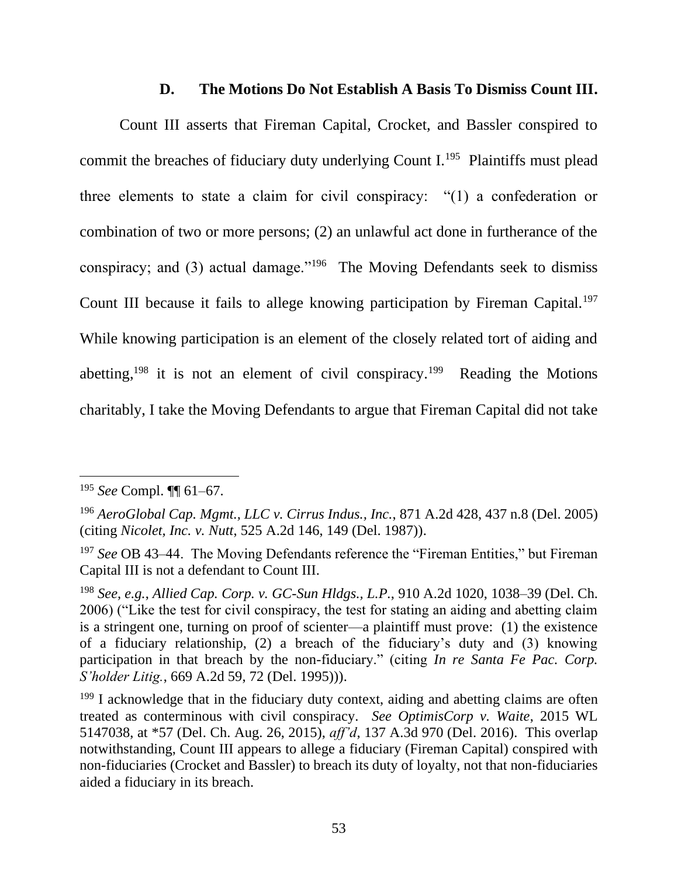### **D. The Motions Do Not Establish A Basis To Dismiss Count III.**

Count III asserts that Fireman Capital, Crocket, and Bassler conspired to commit the breaches of fiduciary duty underlying Count I.<sup>195</sup> Plaintiffs must plead three elements to state a claim for civil conspiracy: "(1) a confederation or combination of two or more persons; (2) an unlawful act done in furtherance of the conspiracy; and (3) actual damage."<sup>196</sup> The Moving Defendants seek to dismiss Count III because it fails to allege knowing participation by Fireman Capital.<sup>197</sup> While knowing participation is an element of the closely related tort of aiding and abetting,<sup>198</sup> it is not an element of civil conspiracy.<sup>199</sup> Reading the Motions charitably, I take the Moving Defendants to argue that Fireman Capital did not take

<sup>195</sup> *See* Compl. ¶¶ 61–67.

<sup>196</sup> *AeroGlobal Cap. Mgmt., LLC v. Cirrus Indus., Inc.*, 871 A.2d 428, 437 n.8 (Del. 2005) (citing *Nicolet, Inc. v. Nutt*, 525 A.2d 146, 149 (Del. 1987)).

<sup>197</sup> *See* OB 43–44. The Moving Defendants reference the "Fireman Entities," but Fireman Capital III is not a defendant to Count III.

<sup>198</sup> *See, e.g.*, *Allied Cap. Corp. v. GC-Sun Hldgs., L.P.*, 910 A.2d 1020, 1038–39 (Del. Ch. 2006) ("Like the test for civil conspiracy, the test for stating an aiding and abetting claim is a stringent one, turning on proof of scienter—a plaintiff must prove: (1) the existence of a fiduciary relationship, (2) a breach of the fiduciary's duty and (3) knowing participation in that breach by the non-fiduciary." (citing *In re Santa Fe Pac. Corp. S'holder Litig.*, 669 A.2d 59, 72 (Del. 1995))).

 $199$  I acknowledge that in the fiduciary duty context, aiding and abetting claims are often treated as conterminous with civil conspiracy. *See OptimisCorp v. Waite*, 2015 WL 5147038, at \*57 (Del. Ch. Aug. 26, 2015), *aff'd*, 137 A.3d 970 (Del. 2016). This overlap notwithstanding, Count III appears to allege a fiduciary (Fireman Capital) conspired with non-fiduciaries (Crocket and Bassler) to breach its duty of loyalty, not that non-fiduciaries aided a fiduciary in its breach.